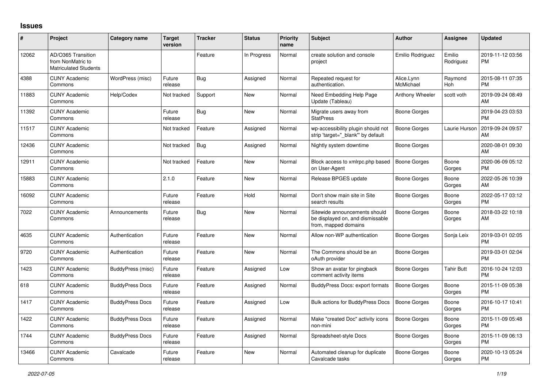## **Issues**

| $\#$  | Project                                                                 | <b>Category name</b>   | <b>Target</b><br>version | <b>Tracker</b> | <b>Status</b> | Priority<br>name | <b>Subject</b>                                                                            | <b>Author</b>           | Assignee            | <b>Updated</b>                |
|-------|-------------------------------------------------------------------------|------------------------|--------------------------|----------------|---------------|------------------|-------------------------------------------------------------------------------------------|-------------------------|---------------------|-------------------------------|
| 12062 | AD/O365 Transition<br>from NonMatric to<br><b>Matriculated Students</b> |                        |                          | Feature        | In Progress   | Normal           | create solution and console<br>project                                                    | Emilio Rodriguez        | Emilio<br>Rodriguez | 2019-11-12 03:56<br><b>PM</b> |
| 4388  | <b>CUNY Academic</b><br>Commons                                         | WordPress (misc)       | Future<br>release        | Bug            | Assigned      | Normal           | Repeated request for<br>authentication.                                                   | Alice.Lynn<br>McMichael | Raymond<br>Hoh      | 2015-08-11 07:35<br><b>PM</b> |
| 11883 | <b>CUNY Academic</b><br>Commons                                         | Help/Codex             | Not tracked              | Support        | <b>New</b>    | Normal           | Need Embedding Help Page<br>Update (Tableau)                                              | Anthony Wheeler         | scott voth          | 2019-09-24 08:49<br>AM        |
| 11392 | <b>CUNY Academic</b><br>Commons                                         |                        | Future<br>release        | Bug            | <b>New</b>    | Normal           | Migrate users away from<br><b>StatPress</b>                                               | Boone Gorges            |                     | 2019-04-23 03:53<br><b>PM</b> |
| 11517 | <b>CUNY Academic</b><br>Commons                                         |                        | Not tracked              | Feature        | Assigned      | Normal           | wp-accessibility plugin should not<br>strip 'target="_blank" by default                   | Boone Gorges            | Laurie Hurson       | 2019-09-24 09:57<br>AM        |
| 12436 | <b>CUNY Academic</b><br>Commons                                         |                        | Not tracked              | Bug            | Assigned      | Normal           | Nightly system downtime                                                                   | Boone Gorges            |                     | 2020-08-01 09:30<br><b>AM</b> |
| 12911 | <b>CUNY Academic</b><br>Commons                                         |                        | Not tracked              | Feature        | New           | Normal           | Block access to xmlrpc.php based<br>on User-Agent                                         | <b>Boone Gorges</b>     | Boone<br>Gorges     | 2020-06-09 05:12<br><b>PM</b> |
| 15883 | <b>CUNY Academic</b><br>Commons                                         |                        | 2.1.0                    | Feature        | New           | Normal           | Release BPGES update                                                                      | Boone Gorges            | Boone<br>Gorges     | 2022-05-26 10:39<br>AM        |
| 16092 | <b>CUNY Academic</b><br>Commons                                         |                        | Future<br>release        | Feature        | Hold          | Normal           | Don't show main site in Site<br>search results                                            | Boone Gorges            | Boone<br>Gorges     | 2022-05-17 03:12<br><b>PM</b> |
| 7022  | <b>CUNY Academic</b><br>Commons                                         | Announcements          | Future<br>release        | Bug            | New           | Normal           | Sitewide announcements should<br>be displayed on, and dismissable<br>from, mapped domains | Boone Gorges            | Boone<br>Gorges     | 2018-03-22 10:18<br>AM        |
| 4635  | <b>CUNY Academic</b><br>Commons                                         | Authentication         | Future<br>release        | Feature        | New           | Normal           | Allow non-WP authentication                                                               | Boone Gorges            | Sonja Leix          | 2019-03-01 02:05<br><b>PM</b> |
| 9720  | <b>CUNY Academic</b><br>Commons                                         | Authentication         | Future<br>release        | Feature        | <b>New</b>    | Normal           | The Commons should be an<br>oAuth provider                                                | Boone Gorges            |                     | 2019-03-01 02:04<br><b>PM</b> |
| 1423  | <b>CUNY Academic</b><br>Commons                                         | BuddyPress (misc)      | Future<br>release        | Feature        | Assigned      | Low              | Show an avatar for pingback<br>comment activity items                                     | Boone Gorges            | Tahir Butt          | 2016-10-24 12:03<br><b>PM</b> |
| 618   | <b>CUNY Academic</b><br>Commons                                         | <b>BuddyPress Docs</b> | Future<br>release        | Feature        | Assigned      | Normal           | <b>BuddyPress Docs: export formats</b>                                                    | Boone Gorges            | Boone<br>Gorges     | 2015-11-09 05:38<br><b>PM</b> |
| 1417  | <b>CUNY Academic</b><br>Commons                                         | <b>BuddyPress Docs</b> | Future<br>release        | Feature        | Assigned      | Low              | <b>Bulk actions for BuddyPress Docs</b>                                                   | <b>Boone Gorges</b>     | Boone<br>Gorges     | 2016-10-17 10:41<br><b>PM</b> |
| 1422  | <b>CUNY Academic</b><br>Commons                                         | <b>BuddyPress Docs</b> | Future<br>release        | Feature        | Assigned      | Normal           | Make "created Doc" activity icons<br>non-mini                                             | Boone Gorges            | Boone<br>Gorges     | 2015-11-09 05:48<br><b>PM</b> |
| 1744  | <b>CUNY Academic</b><br>Commons                                         | <b>BuddyPress Docs</b> | Future<br>release        | Feature        | Assigned      | Normal           | Spreadsheet-style Docs                                                                    | Boone Gorges            | Boone<br>Gorges     | 2015-11-09 06:13<br><b>PM</b> |
| 13466 | <b>CUNY Academic</b><br>Commons                                         | Cavalcade              | Future<br>release        | Feature        | <b>New</b>    | Normal           | Automated cleanup for duplicate<br>Cavalcade tasks                                        | Boone Gorges            | Boone<br>Gorges     | 2020-10-13 05:24<br><b>PM</b> |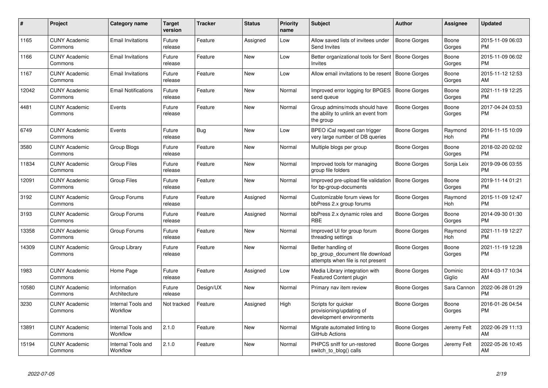| #     | <b>Project</b>                  | <b>Category name</b>           | <b>Target</b><br>version | <b>Tracker</b> | <b>Status</b> | Priority<br>name | <b>Subject</b>                                                                             | <b>Author</b>       | Assignee              | <b>Updated</b>                |
|-------|---------------------------------|--------------------------------|--------------------------|----------------|---------------|------------------|--------------------------------------------------------------------------------------------|---------------------|-----------------------|-------------------------------|
| 1165  | <b>CUNY Academic</b><br>Commons | <b>Email Invitations</b>       | Future<br>release        | Feature        | Assigned      | Low              | Allow saved lists of invitees under<br>Send Invites                                        | <b>Boone Gorges</b> | Boone<br>Gorges       | 2015-11-09 06:03<br><b>PM</b> |
| 1166  | <b>CUNY Academic</b><br>Commons | <b>Email Invitations</b>       | Future<br>release        | Feature        | <b>New</b>    | Low              | Better organizational tools for Sent   Boone Gorges<br><b>Invites</b>                      |                     | Boone<br>Gorges       | 2015-11-09 06:02<br><b>PM</b> |
| 1167  | <b>CUNY Academic</b><br>Commons | <b>Email Invitations</b>       | Future<br>release        | Feature        | <b>New</b>    | Low              | Allow email invitations to be resent                                                       | Boone Gorges        | Boone<br>Gorges       | 2015-11-12 12:53<br>AM        |
| 12042 | <b>CUNY Academic</b><br>Commons | <b>Email Notifications</b>     | Future<br>release        | Feature        | New           | Normal           | Improved error logging for BPGES<br>send queue                                             | <b>Boone Gorges</b> | Boone<br>Gorges       | 2021-11-19 12:25<br><b>PM</b> |
| 4481  | <b>CUNY Academic</b><br>Commons | Events                         | Future<br>release        | Feature        | New           | Normal           | Group admins/mods should have<br>the ability to unlink an event from<br>the group          | Boone Gorges        | Boone<br>Gorges       | 2017-04-24 03:53<br><b>PM</b> |
| 6749  | <b>CUNY Academic</b><br>Commons | Events                         | Future<br>release        | Bug            | New           | Low              | BPEO iCal request can trigger<br>very large number of DB queries                           | Boone Gorges        | Raymond<br>Hoh        | 2016-11-15 10:09<br><b>PM</b> |
| 3580  | <b>CUNY Academic</b><br>Commons | Group Blogs                    | Future<br>release        | Feature        | <b>New</b>    | Normal           | Multiple blogs per group                                                                   | Boone Gorges        | Boone<br>Gorges       | 2018-02-20 02:02<br><b>PM</b> |
| 11834 | <b>CUNY Academic</b><br>Commons | Group Files                    | Future<br>release        | Feature        | New           | Normal           | Improved tools for managing<br>group file folders                                          | Boone Gorges        | Sonja Leix            | 2019-09-06 03:55<br><b>PM</b> |
| 12091 | <b>CUNY Academic</b><br>Commons | <b>Group Files</b>             | Future<br>release        | Feature        | New           | Normal           | Improved pre-upload file validation<br>for bp-group-documents                              | Boone Gorges        | Boone<br>Gorges       | 2019-11-14 01:21<br><b>PM</b> |
| 3192  | <b>CUNY Academic</b><br>Commons | Group Forums                   | Future<br>release        | Feature        | Assigned      | Normal           | Customizable forum views for<br>bbPress 2.x group forums                                   | Boone Gorges        | Raymond<br>Hoh        | 2015-11-09 12:47<br><b>PM</b> |
| 3193  | <b>CUNY Academic</b><br>Commons | Group Forums                   | Future<br>release        | Feature        | Assigned      | Normal           | bbPress 2.x dynamic roles and<br><b>RBE</b>                                                | Boone Gorges        | Boone<br>Gorges       | 2014-09-30 01:30<br><b>PM</b> |
| 13358 | <b>CUNY Academic</b><br>Commons | Group Forums                   | Future<br>release        | Feature        | New           | Normal           | Improved UI for group forum<br>threading settings                                          | Boone Gorges        | Raymond<br><b>Hoh</b> | 2021-11-19 12:27<br><b>PM</b> |
| 14309 | <b>CUNY Academic</b><br>Commons | Group Library                  | Future<br>release        | Feature        | <b>New</b>    | Normal           | Better handling of<br>bp group document file download<br>attempts when file is not present | Boone Gorges        | Boone<br>Gorges       | 2021-11-19 12:28<br><b>PM</b> |
| 1983  | <b>CUNY Academic</b><br>Commons | Home Page                      | Future<br>release        | Feature        | Assigned      | Low              | Media Library integration with<br>Featured Content plugin                                  | Boone Gorges        | Dominic<br>Giglio     | 2014-03-17 10:34<br>AM        |
| 10580 | <b>CUNY Academic</b><br>Commons | Information<br>Architecture    | Future<br>release        | Design/UX      | New           | Normal           | Primary nav item review                                                                    | Boone Gorges        | Sara Cannon           | 2022-06-28 01:29<br><b>PM</b> |
| 3230  | <b>CUNY Academic</b><br>Commons | Internal Tools and<br>Workflow | Not tracked              | Feature        | Assigned      | High             | Scripts for quicker<br>provisioning/updating of<br>development environments                | <b>Boone Gorges</b> | Boone<br>Gorges       | 2016-01-26 04:54<br><b>PM</b> |
| 13891 | <b>CUNY Academic</b><br>Commons | Internal Tools and<br>Workflow | 2.1.0                    | Feature        | New           | Normal           | Migrate automated linting to<br>GitHub Actions                                             | Boone Gorges        | Jeremy Felt           | 2022-06-29 11:13<br>AM        |
| 15194 | <b>CUNY Academic</b><br>Commons | Internal Tools and<br>Workflow | 2.1.0                    | Feature        | New           | Normal           | PHPCS sniff for un-restored<br>switch_to_blog() calls                                      | Boone Gorges        | Jeremy Felt           | 2022-05-26 10:45<br>AM        |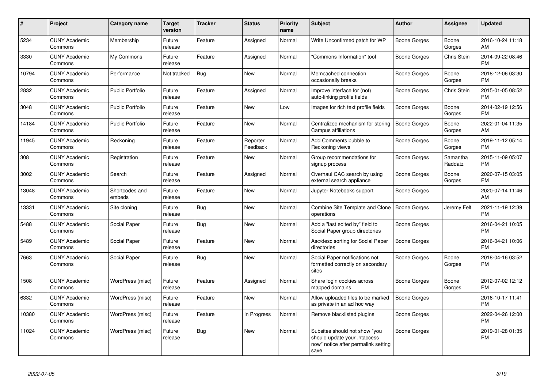| $\pmb{\#}$ | Project                         | <b>Category name</b>     | <b>Target</b><br>version | <b>Tracker</b> | <b>Status</b>        | <b>Priority</b><br>name | <b>Subject</b>                                                                                               | <b>Author</b>       | Assignee            | <b>Updated</b>                |
|------------|---------------------------------|--------------------------|--------------------------|----------------|----------------------|-------------------------|--------------------------------------------------------------------------------------------------------------|---------------------|---------------------|-------------------------------|
| 5234       | <b>CUNY Academic</b><br>Commons | Membership               | Future<br>release        | Feature        | Assigned             | Normal                  | Write Unconfirmed patch for WP                                                                               | Boone Gorges        | Boone<br>Gorges     | 2016-10-24 11:18<br>AM        |
| 3330       | <b>CUNY Academic</b><br>Commons | My Commons               | Future<br>release        | Feature        | Assigned             | Normal                  | "Commons Information" tool                                                                                   | Boone Gorges        | Chris Stein         | 2014-09-22 08:46<br><b>PM</b> |
| 10794      | <b>CUNY Academic</b><br>Commons | Performance              | Not tracked              | <b>Bug</b>     | New                  | Normal                  | Memcached connection<br>occasionally breaks                                                                  | Boone Gorges        | Boone<br>Gorges     | 2018-12-06 03:30<br><b>PM</b> |
| 2832       | <b>CUNY Academic</b><br>Commons | <b>Public Portfolio</b>  | Future<br>release        | Feature        | Assigned             | Normal                  | Improve interface for (not)<br>auto-linking profile fields                                                   | Boone Gorges        | Chris Stein         | 2015-01-05 08:52<br><b>PM</b> |
| 3048       | <b>CUNY Academic</b><br>Commons | <b>Public Portfolio</b>  | Future<br>release        | Feature        | New                  | Low                     | Images for rich text profile fields                                                                          | Boone Gorges        | Boone<br>Gorges     | 2014-02-19 12:56<br><b>PM</b> |
| 14184      | <b>CUNY Academic</b><br>Commons | <b>Public Portfolio</b>  | Future<br>release        | Feature        | New                  | Normal                  | Centralized mechanism for storing<br>Campus affiliations                                                     | <b>Boone Gorges</b> | Boone<br>Gorges     | 2022-01-04 11:35<br>AM        |
| 11945      | <b>CUNY Academic</b><br>Commons | Reckoning                | Future<br>release        | Feature        | Reporter<br>Feedback | Normal                  | Add Comments bubble to<br>Reckoning views                                                                    | Boone Gorges        | Boone<br>Gorges     | 2019-11-12 05:14<br><b>PM</b> |
| 308        | <b>CUNY Academic</b><br>Commons | Registration             | Future<br>release        | Feature        | <b>New</b>           | Normal                  | Group recommendations for<br>signup process                                                                  | Boone Gorges        | Samantha<br>Raddatz | 2015-11-09 05:07<br><b>PM</b> |
| 3002       | <b>CUNY Academic</b><br>Commons | Search                   | Future<br>release        | Feature        | Assigned             | Normal                  | Overhaul CAC search by using<br>external search appliance                                                    | Boone Gorges        | Boone<br>Gorges     | 2020-07-15 03:05<br><b>PM</b> |
| 13048      | <b>CUNY Academic</b><br>Commons | Shortcodes and<br>embeds | Future<br>release        | Feature        | <b>New</b>           | Normal                  | Jupyter Notebooks support                                                                                    | Boone Gorges        |                     | 2020-07-14 11:46<br>AM        |
| 13331      | <b>CUNY Academic</b><br>Commons | Site cloning             | Future<br>release        | <b>Bug</b>     | <b>New</b>           | Normal                  | Combine Site Template and Clone<br>operations                                                                | Boone Gorges        | Jeremy Felt         | 2021-11-19 12:39<br><b>PM</b> |
| 5488       | <b>CUNY Academic</b><br>Commons | Social Paper             | Future<br>release        | <b>Bug</b>     | New                  | Normal                  | Add a "last edited by" field to<br>Social Paper group directories                                            | Boone Gorges        |                     | 2016-04-21 10:05<br><b>PM</b> |
| 5489       | <b>CUNY Academic</b><br>Commons | Social Paper             | Future<br>release        | Feature        | New                  | Normal                  | Asc/desc sorting for Social Paper<br>directories                                                             | <b>Boone Gorges</b> |                     | 2016-04-21 10:06<br><b>PM</b> |
| 7663       | <b>CUNY Academic</b><br>Commons | Social Paper             | Future<br>release        | <b>Bug</b>     | <b>New</b>           | Normal                  | Social Paper notifications not<br>formatted correctly on secondary<br>sites                                  | Boone Gorges        | Boone<br>Gorges     | 2018-04-16 03:52<br><b>PM</b> |
| 1508       | <b>CUNY Academic</b><br>Commons | WordPress (misc)         | Future<br>release        | Feature        | Assigned             | Normal                  | Share login cookies across<br>mapped domains                                                                 | Boone Gorges        | Boone<br>Gorges     | 2012-07-02 12:12<br><b>PM</b> |
| 6332       | <b>CUNY Academic</b><br>Commons | WordPress (misc)         | Future<br>release        | Feature        | New                  | Normal                  | Allow uploaded files to be marked<br>as private in an ad hoc way                                             | <b>Boone Gorges</b> |                     | 2016-10-17 11:41<br><b>PM</b> |
| 10380      | <b>CUNY Academic</b><br>Commons | WordPress (misc)         | Future<br>release        | Feature        | In Progress          | Normal                  | Remove blacklisted plugins                                                                                   | Boone Gorges        |                     | 2022-04-26 12:00<br><b>PM</b> |
| 11024      | <b>CUNY Academic</b><br>Commons | WordPress (misc)         | Future<br>release        | <b>Bug</b>     | New                  | Normal                  | Subsites should not show "you<br>should update your .htaccess<br>now" notice after permalink setting<br>save | <b>Boone Gorges</b> |                     | 2019-01-28 01:35<br><b>PM</b> |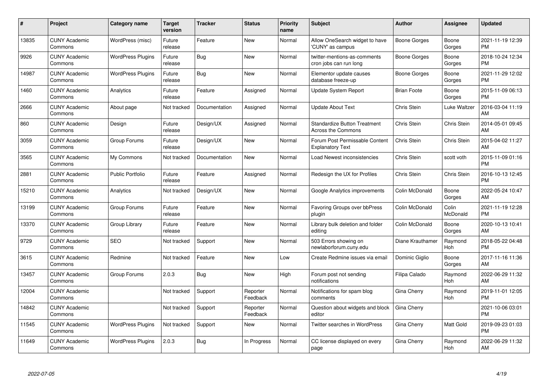| #     | Project                         | Category name            | <b>Target</b><br>version | <b>Tracker</b> | <b>Status</b>        | <b>Priority</b><br>name | <b>Subject</b>                                                   | <b>Author</b>      | Assignee           | <b>Updated</b>                |
|-------|---------------------------------|--------------------------|--------------------------|----------------|----------------------|-------------------------|------------------------------------------------------------------|--------------------|--------------------|-------------------------------|
| 13835 | <b>CUNY Academic</b><br>Commons | WordPress (misc)         | Future<br>release        | Feature        | New                  | Normal                  | Allow OneSearch widget to have<br>'CUNY' as campus               | Boone Gorges       | Boone<br>Gorges    | 2021-11-19 12:39<br><b>PM</b> |
| 9926  | <b>CUNY Academic</b><br>Commons | <b>WordPress Plugins</b> | Future<br>release        | Bug            | New                  | Normal                  | twitter-mentions-as-comments<br>cron jobs can run long           | Boone Gorges       | Boone<br>Gorges    | 2018-10-24 12:34<br><b>PM</b> |
| 14987 | <b>CUNY Academic</b><br>Commons | <b>WordPress Plugins</b> | Future<br>release        | <b>Bug</b>     | New                  | Normal                  | Elementor update causes<br>database freeze-up                    | Boone Gorges       | Boone<br>Gorges    | 2021-11-29 12:02<br><b>PM</b> |
| 1460  | <b>CUNY Academic</b><br>Commons | Analytics                | Future<br>release        | Feature        | Assigned             | Normal                  | <b>Update System Report</b>                                      | <b>Brian Foote</b> | Boone<br>Gorges    | 2015-11-09 06:13<br><b>PM</b> |
| 2666  | <b>CUNY Academic</b><br>Commons | About page               | Not tracked              | Documentation  | Assigned             | Normal                  | <b>Update About Text</b>                                         | Chris Stein        | Luke Waltzer       | 2016-03-04 11:19<br>AM        |
| 860   | <b>CUNY Academic</b><br>Commons | Design                   | Future<br>release        | Design/UX      | Assigned             | Normal                  | <b>Standardize Button Treatment</b><br><b>Across the Commons</b> | Chris Stein        | Chris Stein        | 2014-05-01 09:45<br>AM        |
| 3059  | <b>CUNY Academic</b><br>Commons | Group Forums             | Future<br>release        | Design/UX      | New                  | Normal                  | Forum Post Permissable Content<br><b>Explanatory Text</b>        | Chris Stein        | Chris Stein        | 2015-04-02 11:27<br>AM        |
| 3565  | <b>CUNY Academic</b><br>Commons | My Commons               | Not tracked              | Documentation  | <b>New</b>           | Normal                  | Load Newest inconsistencies                                      | Chris Stein        | scott voth         | 2015-11-09 01:16<br><b>PM</b> |
| 2881  | <b>CUNY Academic</b><br>Commons | <b>Public Portfolio</b>  | Future<br>release        | Feature        | Assigned             | Normal                  | Redesign the UX for Profiles                                     | Chris Stein        | <b>Chris Stein</b> | 2016-10-13 12:45<br><b>PM</b> |
| 15210 | <b>CUNY Academic</b><br>Commons | Analytics                | Not tracked              | Design/UX      | New                  | Normal                  | Google Analytics improvements                                    | Colin McDonald     | Boone<br>Gorges    | 2022-05-24 10:47<br>AM        |
| 13199 | <b>CUNY Academic</b><br>Commons | Group Forums             | Future<br>release        | Feature        | New                  | Normal                  | Favoring Groups over bbPress<br>plugin                           | Colin McDonald     | Colin<br>McDonald  | 2021-11-19 12:28<br><b>PM</b> |
| 13370 | <b>CUNY Academic</b><br>Commons | Group Library            | Future<br>release        | Feature        | <b>New</b>           | Normal                  | Library bulk deletion and folder<br>editing                      | Colin McDonald     | Boone<br>Gorges    | 2020-10-13 10:41<br>AM        |
| 9729  | <b>CUNY Academic</b><br>Commons | <b>SEO</b>               | Not tracked              | Support        | New                  | Normal                  | 503 Errors showing on<br>newlaborforum.cuny.edu                  | Diane Krauthamer   | Raymond<br>Hoh     | 2018-05-22 04:48<br><b>PM</b> |
| 3615  | <b>CUNY Academic</b><br>Commons | Redmine                  | Not tracked              | Feature        | New                  | Low                     | Create Redmine issues via email                                  | Dominic Giglio     | Boone<br>Gorges    | 2017-11-16 11:36<br>AM        |
| 13457 | <b>CUNY Academic</b><br>Commons | Group Forums             | 2.0.3                    | <b>Bug</b>     | New                  | High                    | Forum post not sending<br>notifications                          | Filipa Calado      | Raymond<br>Hoh     | 2022-06-29 11:32<br>AM        |
| 12004 | <b>CUNY Academic</b><br>Commons |                          | Not tracked              | Support        | Reporter<br>Feedback | Normal                  | Notifications for spam blog<br>comments                          | Gina Cherry        | Raymond<br>Hoh     | 2019-11-01 12:05<br><b>PM</b> |
| 14842 | <b>CUNY Academic</b><br>Commons |                          | Not tracked              | Support        | Reporter<br>Feedback | Normal                  | Question about widgets and block<br>editor                       | Gina Cherry        |                    | 2021-10-06 03:01<br><b>PM</b> |
| 11545 | <b>CUNY Academic</b><br>Commons | <b>WordPress Plugins</b> | Not tracked              | Support        | New                  | Normal                  | <b>Twitter searches in WordPress</b>                             | Gina Cherry        | Matt Gold          | 2019-09-23 01:03<br><b>PM</b> |
| 11649 | CUNY Academic<br>Commons        | <b>WordPress Plugins</b> | 2.0.3                    | <b>Bug</b>     | In Progress          | Normal                  | CC license displayed on every<br>page                            | Gina Cherry        | Raymond<br>Hoh     | 2022-06-29 11:32<br>AM        |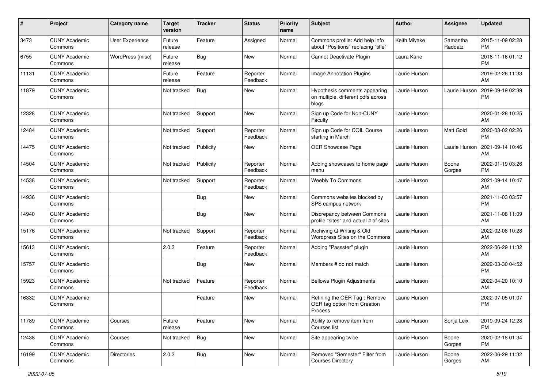| #     | Project                         | <b>Category name</b>   | <b>Target</b><br>version | <b>Tracker</b> | <b>Status</b>        | <b>Priority</b><br>name | Subject                                                                      | <b>Author</b> | <b>Assignee</b>     | <b>Updated</b>                |
|-------|---------------------------------|------------------------|--------------------------|----------------|----------------------|-------------------------|------------------------------------------------------------------------------|---------------|---------------------|-------------------------------|
| 3473  | <b>CUNY Academic</b><br>Commons | <b>User Experience</b> | Future<br>release        | Feature        | Assigned             | Normal                  | Commons profile: Add help info<br>about "Positions" replacing "title"        | Keith Miyake  | Samantha<br>Raddatz | 2015-11-09 02:28<br><b>PM</b> |
| 6755  | <b>CUNY Academic</b><br>Commons | WordPress (misc)       | Future<br>release        | Bug            | New                  | Normal                  | Cannot Deactivate Plugin                                                     | Laura Kane    |                     | 2016-11-16 01:12<br><b>PM</b> |
| 11131 | <b>CUNY Academic</b><br>Commons |                        | Future<br>release        | Feature        | Reporter<br>Feedback | Normal                  | Image Annotation Plugins                                                     | Laurie Hurson |                     | 2019-02-26 11:33<br>AM        |
| 11879 | <b>CUNY Academic</b><br>Commons |                        | Not tracked              | Bug            | New                  | Normal                  | Hypothesis comments appearing<br>on multiple, different pdfs across<br>blogs | Laurie Hurson | Laurie Hurson       | 2019-09-19 02:39<br><b>PM</b> |
| 12328 | <b>CUNY Academic</b><br>Commons |                        | Not tracked              | Support        | New                  | Normal                  | Sign up Code for Non-CUNY<br>Faculty                                         | Laurie Hurson |                     | 2020-01-28 10:25<br>AM        |
| 12484 | <b>CUNY Academic</b><br>Commons |                        | Not tracked              | Support        | Reporter<br>Feedback | Normal                  | Sign up Code for COIL Course<br>starting in March                            | Laurie Hurson | Matt Gold           | 2020-03-02 02:26<br><b>PM</b> |
| 14475 | <b>CUNY Academic</b><br>Commons |                        | Not tracked              | Publicity      | New                  | Normal                  | OER Showcase Page                                                            | Laurie Hurson | Laurie Hurson       | 2021-09-14 10:46<br>AM        |
| 14504 | <b>CUNY Academic</b><br>Commons |                        | Not tracked              | Publicity      | Reporter<br>Feedback | Normal                  | Adding showcases to home page<br>menu                                        | Laurie Hurson | Boone<br>Gorges     | 2022-01-19 03:26<br><b>PM</b> |
| 14538 | <b>CUNY Academic</b><br>Commons |                        | Not tracked              | Support        | Reporter<br>Feedback | Normal                  | Weebly To Commons                                                            | Laurie Hurson |                     | 2021-09-14 10:47<br>AM        |
| 14936 | <b>CUNY Academic</b><br>Commons |                        |                          | Bug            | New                  | Normal                  | Commons websites blocked by<br>SPS campus network                            | Laurie Hurson |                     | 2021-11-03 03:57<br><b>PM</b> |
| 14940 | <b>CUNY Academic</b><br>Commons |                        |                          | Bug            | New                  | Normal                  | Discrepancy between Commons<br>profile "sites" and actual # of sites         | Laurie Hurson |                     | 2021-11-08 11:09<br>AM        |
| 15176 | <b>CUNY Academic</b><br>Commons |                        | Not tracked              | Support        | Reporter<br>Feedback | Normal                  | Archiving Q Writing & Old<br>Wordpress Sites on the Commons                  | Laurie Hurson |                     | 2022-02-08 10:28<br>AM        |
| 15613 | <b>CUNY Academic</b><br>Commons |                        | 2.0.3                    | Feature        | Reporter<br>Feedback | Normal                  | Adding "Passster" plugin                                                     | Laurie Hurson |                     | 2022-06-29 11:32<br>AM        |
| 15757 | <b>CUNY Academic</b><br>Commons |                        |                          | <b>Bug</b>     | New                  | Normal                  | Members # do not match                                                       | Laurie Hurson |                     | 2022-03-30 04:52<br><b>PM</b> |
| 15923 | <b>CUNY Academic</b><br>Commons |                        | Not tracked              | Feature        | Reporter<br>Feedback | Normal                  | <b>Bellows Plugin Adjustments</b>                                            | Laurie Hurson |                     | 2022-04-20 10:10<br>AM        |
| 16332 | <b>CUNY Academic</b><br>Commons |                        |                          | Feature        | <b>New</b>           | Normal                  | Refining the OER Tag: Remove<br>OER tag option from Creation<br>Process      | Laurie Hurson |                     | 2022-07-05 01:07<br><b>PM</b> |
| 11789 | <b>CUNY Academic</b><br>Commons | Courses                | Future<br>release        | Feature        | New                  | Normal                  | Ability to remove item from<br>Courses list                                  | Laurie Hurson | Sonja Leix          | 2019-09-24 12:28<br>PM.       |
| 12438 | <b>CUNY Academic</b><br>Commons | Courses                | Not tracked              | <b>Bug</b>     | New                  | Normal                  | Site appearing twice                                                         | Laurie Hurson | Boone<br>Gorges     | 2020-02-18 01:34<br><b>PM</b> |
| 16199 | <b>CUNY Academic</b><br>Commons | Directories            | 2.0.3                    | <b>Bug</b>     | New                  | Normal                  | Removed "Semester" Filter from<br><b>Courses Directory</b>                   | Laurie Hurson | Boone<br>Gorges     | 2022-06-29 11:32<br>AM        |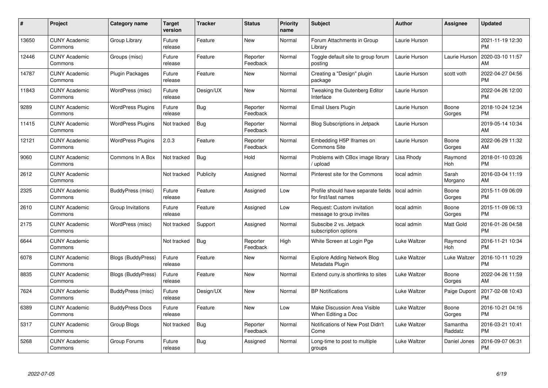| $\#$  | Project                         | <b>Category name</b>      | <b>Target</b><br>version | <b>Tracker</b> | <b>Status</b>        | <b>Priority</b><br>name | <b>Subject</b>                                              | <b>Author</b> | <b>Assignee</b>     | <b>Updated</b>                |
|-------|---------------------------------|---------------------------|--------------------------|----------------|----------------------|-------------------------|-------------------------------------------------------------|---------------|---------------------|-------------------------------|
| 13650 | <b>CUNY Academic</b><br>Commons | Group Library             | Future<br>release        | Feature        | <b>New</b>           | Normal                  | Forum Attachments in Group<br>Library                       | Laurie Hurson |                     | 2021-11-19 12:30<br><b>PM</b> |
| 12446 | <b>CUNY Academic</b><br>Commons | Groups (misc)             | Future<br>release        | Feature        | Reporter<br>Feedback | Normal                  | Toggle default site to group forum<br>posting               | Laurie Hurson | Laurie Hurson       | 2020-03-10 11:57<br>AM        |
| 14787 | <b>CUNY Academic</b><br>Commons | Plugin Packages           | Future<br>release        | Feature        | New                  | Normal                  | Creating a "Design" plugin<br>package                       | Laurie Hurson | scott voth          | 2022-04-27 04:56<br><b>PM</b> |
| 11843 | <b>CUNY Academic</b><br>Commons | WordPress (misc)          | Future<br>release        | Design/UX      | <b>New</b>           | Normal                  | Tweaking the Gutenberg Editor<br>Interface                  | Laurie Hurson |                     | 2022-04-26 12:00<br><b>PM</b> |
| 9289  | <b>CUNY Academic</b><br>Commons | <b>WordPress Plugins</b>  | Future<br>release        | <b>Bug</b>     | Reporter<br>Feedback | Normal                  | Email Users Plugin                                          | Laurie Hurson | Boone<br>Gorges     | 2018-10-24 12:34<br><b>PM</b> |
| 11415 | <b>CUNY Academic</b><br>Commons | <b>WordPress Plugins</b>  | Not tracked              | <b>Bug</b>     | Reporter<br>Feedback | Normal                  | <b>Blog Subscriptions in Jetpack</b>                        | Laurie Hurson |                     | 2019-05-14 10:34<br>AM        |
| 12121 | <b>CUNY Academic</b><br>Commons | <b>WordPress Plugins</b>  | 2.0.3                    | Feature        | Reporter<br>Feedback | Normal                  | Embedding H5P Iframes on<br><b>Commons Site</b>             | Laurie Hurson | Boone<br>Gorges     | 2022-06-29 11:32<br>AM        |
| 9060  | <b>CUNY Academic</b><br>Commons | Commons In A Box          | Not tracked              | <b>Bug</b>     | Hold                 | Normal                  | Problems with CBox image library<br>upload                  | Lisa Rhody    | Raymond<br>Hoh      | 2018-01-10 03:26<br><b>PM</b> |
| 2612  | <b>CUNY Academic</b><br>Commons |                           | Not tracked              | Publicity      | Assigned             | Normal                  | Pinterest site for the Commons                              | local admin   | Sarah<br>Morgano    | 2016-03-04 11:19<br>AM        |
| 2325  | <b>CUNY Academic</b><br>Commons | BuddyPress (misc)         | Future<br>release        | Feature        | Assigned             | Low                     | Profile should have separate fields<br>for first/last names | local admin   | Boone<br>Gorges     | 2015-11-09 06:09<br><b>PM</b> |
| 2610  | <b>CUNY Academic</b><br>Commons | Group Invitations         | Future<br>release        | Feature        | Assigned             | Low                     | Request: Custom invitation<br>message to group invites      | local admin   | Boone<br>Gorges     | 2015-11-09 06:13<br><b>PM</b> |
| 2175  | <b>CUNY Academic</b><br>Commons | WordPress (misc)          | Not tracked              | Support        | Assigned             | Normal                  | Subscibe 2 vs. Jetpack<br>subscription options              | local admin   | Matt Gold           | 2016-01-26 04:58<br><b>PM</b> |
| 6644  | <b>CUNY Academic</b><br>Commons |                           | Not tracked              | <b>Bug</b>     | Reporter<br>Feedback | High                    | White Screen at Login Pge                                   | Luke Waltzer  | Raymond<br>Hoh      | 2016-11-21 10:34<br><b>PM</b> |
| 6078  | <b>CUNY Academic</b><br>Commons | Blogs (BuddyPress)        | Future<br>release        | Feature        | <b>New</b>           | Normal                  | <b>Explore Adding Network Blog</b><br>Metadata Plugin       | Luke Waltzer  | Luke Waltzer        | 2016-10-11 10:29<br><b>PM</b> |
| 8835  | <b>CUNY Academic</b><br>Commons | <b>Blogs (BuddyPress)</b> | Future<br>release        | Feature        | New                  | Normal                  | Extend cuny is shortlinks to sites                          | Luke Waltzer  | Boone<br>Gorges     | 2022-04-26 11:59<br>AM        |
| 7624  | <b>CUNY Academic</b><br>Commons | BuddyPress (misc)         | Future<br>release        | Design/UX      | New                  | Normal                  | <b>BP</b> Notifications                                     | Luke Waltzer  | Paige Dupont        | 2017-02-08 10:43<br><b>PM</b> |
| 6389  | <b>CUNY Academic</b><br>Commons | <b>BuddyPress Docs</b>    | Future<br>release        | Feature        | New                  | Low                     | Make Discussion Area Visible<br>When Editing a Doc          | Luke Waltzer  | Boone<br>Gorges     | 2016-10-21 04:16<br><b>PM</b> |
| 5317  | <b>CUNY Academic</b><br>Commons | Group Blogs               | Not tracked              | Bug            | Reporter<br>Feedback | Normal                  | Notifications of New Post Didn't<br>Come                    | Luke Waltzer  | Samantha<br>Raddatz | 2016-03-21 10:41<br><b>PM</b> |
| 5268  | <b>CUNY Academic</b><br>Commons | Group Forums              | Future<br>release        | <b>Bug</b>     | Assigned             | Normal                  | Long-time to post to multiple<br>groups                     | Luke Waltzer  | Daniel Jones        | 2016-09-07 06:31<br><b>PM</b> |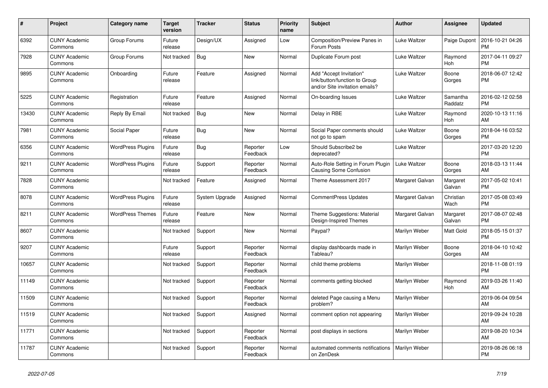| #     | <b>Project</b>                  | <b>Category name</b>     | <b>Target</b><br>version | <b>Tracker</b> | <b>Status</b>        | <b>Priority</b><br>name | <b>Subject</b>                                                                             | <b>Author</b>        | Assignee            | <b>Updated</b>                |
|-------|---------------------------------|--------------------------|--------------------------|----------------|----------------------|-------------------------|--------------------------------------------------------------------------------------------|----------------------|---------------------|-------------------------------|
| 6392  | <b>CUNY Academic</b><br>Commons | Group Forums             | Future<br>release        | Design/UX      | Assigned             | Low                     | Composition/Preview Panes in<br>Forum Posts                                                | Luke Waltzer         | Paige Dupont        | 2016-10-21 04:26<br><b>PM</b> |
| 7928  | <b>CUNY Academic</b><br>Commons | Group Forums             | Not tracked              | <b>Bug</b>     | New                  | Normal                  | Duplicate Forum post                                                                       | Luke Waltzer         | Raymond<br>Hoh      | 2017-04-11 09:27<br><b>PM</b> |
| 9895  | <b>CUNY Academic</b><br>Commons | Onboarding               | Future<br>release        | Feature        | Assigned             | Normal                  | Add "Accept Invitation"<br>link/button/function to Group<br>and/or Site invitation emails? | Luke Waltzer         | Boone<br>Gorges     | 2018-06-07 12:42<br><b>PM</b> |
| 5225  | <b>CUNY Academic</b><br>Commons | Registration             | Future<br>release        | Feature        | Assigned             | Normal                  | On-boarding Issues                                                                         | Luke Waltzer         | Samantha<br>Raddatz | 2016-02-12 02:58<br><b>PM</b> |
| 13430 | <b>CUNY Academic</b><br>Commons | Reply By Email           | Not tracked              | Bug            | New                  | Normal                  | Delay in RBE                                                                               | Luke Waltzer         | Raymond<br>Hoh      | 2020-10-13 11:16<br>AM        |
| 7981  | <b>CUNY Academic</b><br>Commons | Social Paper             | Future<br>release        | <b>Bug</b>     | <b>New</b>           | Normal                  | Social Paper comments should<br>not go to spam                                             | Luke Waltzer         | Boone<br>Gorges     | 2018-04-16 03:52<br><b>PM</b> |
| 6356  | <b>CUNY Academic</b><br>Commons | <b>WordPress Plugins</b> | Future<br>release        | <b>Bug</b>     | Reporter<br>Feedback | Low                     | Should Subscribe2 be<br>deprecated?                                                        | Luke Waltzer         |                     | 2017-03-20 12:20<br><b>PM</b> |
| 9211  | <b>CUNY Academic</b><br>Commons | <b>WordPress Plugins</b> | Future<br>release        | Support        | Reporter<br>Feedback | Normal                  | Auto-Role Setting in Forum Plugin<br>Causing Some Confusion                                | Luke Waltzer         | Boone<br>Gorges     | 2018-03-13 11:44<br>AM        |
| 7828  | <b>CUNY Academic</b><br>Commons |                          | Not tracked              | Feature        | Assigned             | Normal                  | Theme Assessment 2017                                                                      | Margaret Galvan      | Margaret<br>Galvan  | 2017-05-02 10:41<br><b>PM</b> |
| 8078  | <b>CUNY Academic</b><br>Commons | <b>WordPress Plugins</b> | Future<br>release        | System Upgrade | Assigned             | Normal                  | <b>CommentPress Updates</b>                                                                | Margaret Galvan      | Christian<br>Wach   | 2017-05-08 03:49<br><b>PM</b> |
| 8211  | <b>CUNY Academic</b><br>Commons | <b>WordPress Themes</b>  | Future<br>release        | Feature        | New                  | Normal                  | Theme Suggestions: Material<br>Design-Inspired Themes                                      | Margaret Galvan      | Margaret<br>Galvan  | 2017-08-07 02:48<br><b>PM</b> |
| 8607  | <b>CUNY Academic</b><br>Commons |                          | Not tracked              | Support        | New                  | Normal                  | Paypal?                                                                                    | Marilyn Weber        | Matt Gold           | 2018-05-15 01:37<br><b>PM</b> |
| 9207  | <b>CUNY Academic</b><br>Commons |                          | Future<br>release        | Support        | Reporter<br>Feedback | Normal                  | display dashboards made in<br>Tableau?                                                     | Marilyn Weber        | Boone<br>Gorges     | 2018-04-10 10:42<br>AM        |
| 10657 | <b>CUNY Academic</b><br>Commons |                          | Not tracked              | Support        | Reporter<br>Feedback | Normal                  | child theme problems                                                                       | Marilyn Weber        |                     | 2018-11-08 01:19<br><b>PM</b> |
| 11149 | <b>CUNY Academic</b><br>Commons |                          | Not tracked              | Support        | Reporter<br>Feedback | Normal                  | comments getting blocked                                                                   | Marilyn Weber        | Raymond<br>Hoh      | 2019-03-26 11:40<br>AM        |
| 11509 | <b>CUNY Academic</b><br>Commons |                          | Not tracked              | Support        | Reporter<br>Feedback | Normal                  | deleted Page causing a Menu<br>problem?                                                    | Marilyn Weber        |                     | 2019-06-04 09:54<br>AM        |
| 11519 | <b>CUNY Academic</b><br>Commons |                          | Not tracked              | Support        | Assigned             | Normal                  | comment option not appearing                                                               | Marilyn Weber        |                     | 2019-09-24 10:28<br>AM        |
| 11771 | <b>CUNY Academic</b><br>Commons |                          | Not tracked              | Support        | Reporter<br>Feedback | Normal                  | post displays in sections                                                                  | Marilyn Weber        |                     | 2019-08-20 10:34<br>AM        |
| 11787 | <b>CUNY Academic</b><br>Commons |                          | Not tracked              | Support        | Reporter<br>Feedback | Normal                  | automated comments notifications<br>on ZenDesk                                             | <b>Marilyn Weber</b> |                     | 2019-08-26 06:18<br><b>PM</b> |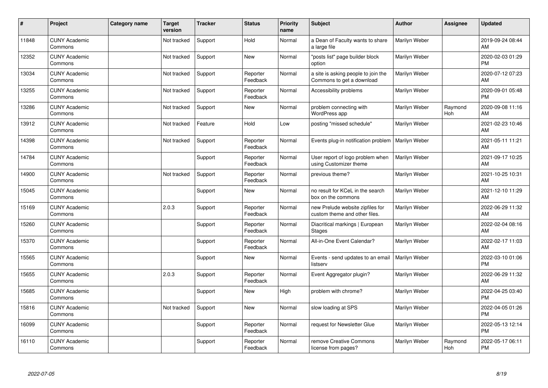| $\vert$ # | Project                         | Category name | <b>Target</b><br>version | <b>Tracker</b> | <b>Status</b>        | <b>Priority</b><br>name | <b>Subject</b>                                                    | <b>Author</b> | <b>Assignee</b> | <b>Updated</b>                |
|-----------|---------------------------------|---------------|--------------------------|----------------|----------------------|-------------------------|-------------------------------------------------------------------|---------------|-----------------|-------------------------------|
| 11848     | <b>CUNY Academic</b><br>Commons |               | Not tracked              | Support        | Hold                 | Normal                  | a Dean of Faculty wants to share<br>a large file                  | Marilyn Weber |                 | 2019-09-24 08:44<br>AM        |
| 12352     | <b>CUNY Academic</b><br>Commons |               | Not tracked              | Support        | New                  | Normal                  | "posts list" page builder block<br>option                         | Marilyn Weber |                 | 2020-02-03 01:29<br><b>PM</b> |
| 13034     | <b>CUNY Academic</b><br>Commons |               | Not tracked              | Support        | Reporter<br>Feedback | Normal                  | a site is asking people to join the<br>Commons to get a download  | Marilyn Weber |                 | 2020-07-12 07:23<br>AM        |
| 13255     | <b>CUNY Academic</b><br>Commons |               | Not tracked              | Support        | Reporter<br>Feedback | Normal                  | Accessibility problems                                            | Marilyn Weber |                 | 2020-09-01 05:48<br><b>PM</b> |
| 13286     | <b>CUNY Academic</b><br>Commons |               | Not tracked              | Support        | New                  | Normal                  | problem connecting with<br><b>WordPress app</b>                   | Marilyn Weber | Raymond<br>Hoh  | 2020-09-08 11:16<br>AM        |
| 13912     | <b>CUNY Academic</b><br>Commons |               | Not tracked              | Feature        | Hold                 | Low                     | posting "missed schedule"                                         | Marilyn Weber |                 | 2021-02-23 10:46<br>AM        |
| 14398     | <b>CUNY Academic</b><br>Commons |               | Not tracked              | Support        | Reporter<br>Feedback | Normal                  | Events plug-in notification problem                               | Marilyn Weber |                 | 2021-05-11 11:21<br>AM        |
| 14784     | <b>CUNY Academic</b><br>Commons |               |                          | Support        | Reporter<br>Feedback | Normal                  | User report of logo problem when<br>using Customizer theme        | Marilyn Weber |                 | 2021-09-17 10:25<br>AM        |
| 14900     | <b>CUNY Academic</b><br>Commons |               | Not tracked              | Support        | Reporter<br>Feedback | Normal                  | previous theme?                                                   | Marilyn Weber |                 | 2021-10-25 10:31<br>AM        |
| 15045     | <b>CUNY Academic</b><br>Commons |               |                          | Support        | <b>New</b>           | Normal                  | no result for KCeL in the search<br>box on the commons            | Marilyn Weber |                 | 2021-12-10 11:29<br>AM        |
| 15169     | <b>CUNY Academic</b><br>Commons |               | 2.0.3                    | Support        | Reporter<br>Feedback | Normal                  | new Prelude website zipfiles for<br>custom theme and other files. | Marilyn Weber |                 | 2022-06-29 11:32<br>AM        |
| 15260     | <b>CUNY Academic</b><br>Commons |               |                          | Support        | Reporter<br>Feedback | Normal                  | Diacritical markings   European<br><b>Stages</b>                  | Marilyn Weber |                 | 2022-02-04 08:16<br>AM        |
| 15370     | <b>CUNY Academic</b><br>Commons |               |                          | Support        | Reporter<br>Feedback | Normal                  | All-in-One Event Calendar?                                        | Marilyn Weber |                 | 2022-02-17 11:03<br>AM        |
| 15565     | <b>CUNY Academic</b><br>Commons |               |                          | Support        | New                  | Normal                  | Events - send updates to an email<br>listserv                     | Marilyn Weber |                 | 2022-03-10 01:06<br><b>PM</b> |
| 15655     | <b>CUNY Academic</b><br>Commons |               | 2.0.3                    | Support        | Reporter<br>Feedback | Normal                  | Event Aggregator plugin?                                          | Marilyn Weber |                 | 2022-06-29 11:32<br><b>AM</b> |
| 15685     | <b>CUNY Academic</b><br>Commons |               |                          | Support        | New                  | High                    | problem with chrome?                                              | Marilyn Weber |                 | 2022-04-25 03:40<br><b>PM</b> |
| 15816     | <b>CUNY Academic</b><br>Commons |               | Not tracked              | Support        | New                  | Normal                  | slow loading at SPS                                               | Marilyn Weber |                 | 2022-04-05 01:26<br><b>PM</b> |
| 16099     | <b>CUNY Academic</b><br>Commons |               |                          | Support        | Reporter<br>Feedback | Normal                  | request for Newsletter Glue                                       | Marilyn Weber |                 | 2022-05-13 12:14<br><b>PM</b> |
| 16110     | <b>CUNY Academic</b><br>Commons |               |                          | Support        | Reporter<br>Feedback | Normal                  | remove Creative Commons<br>license from pages?                    | Marilyn Weber | Raymond<br>Hoh  | 2022-05-17 06:11<br>PM        |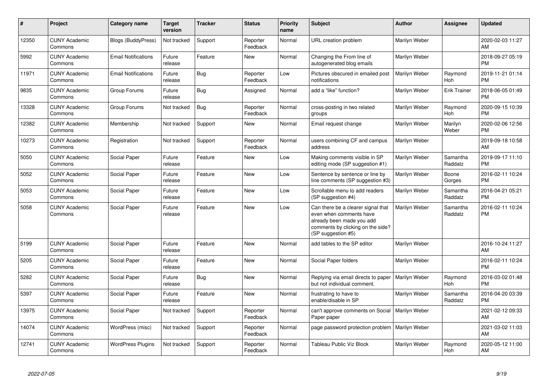| $\pmb{\#}$ | Project                         | <b>Category name</b>       | <b>Target</b><br>version | <b>Tracker</b> | <b>Status</b>        | <b>Priority</b><br>name | <b>Subject</b>                                                                                                                                        | <b>Author</b> | Assignee            | <b>Updated</b>                |
|------------|---------------------------------|----------------------------|--------------------------|----------------|----------------------|-------------------------|-------------------------------------------------------------------------------------------------------------------------------------------------------|---------------|---------------------|-------------------------------|
| 12350      | <b>CUNY Academic</b><br>Commons | <b>Blogs (BuddyPress)</b>  | Not tracked              | Support        | Reporter<br>Feedback | Normal                  | URL creation problem                                                                                                                                  | Marilyn Weber |                     | 2020-02-03 11:27<br>AM        |
| 5992       | <b>CUNY Academic</b><br>Commons | <b>Email Notifications</b> | Future<br>release        | Feature        | <b>New</b>           | Normal                  | Changing the From line of<br>autogenerated blog emails                                                                                                | Marilyn Weber |                     | 2018-09-27 05:19<br><b>PM</b> |
| 11971      | <b>CUNY Academic</b><br>Commons | <b>Email Notifications</b> | Future<br>release        | <b>Bug</b>     | Reporter<br>Feedback | Low                     | Pictures obscured in emailed post<br>notifications                                                                                                    | Marilyn Weber | Raymond<br>Hoh      | 2019-11-21 01:14<br><b>PM</b> |
| 9835       | <b>CUNY Academic</b><br>Commons | Group Forums               | Future<br>release        | Bug            | Assigned             | Normal                  | add a "like" function?                                                                                                                                | Marilyn Weber | <b>Erik Trainer</b> | 2018-06-05 01:49<br><b>PM</b> |
| 13328      | <b>CUNY Academic</b><br>Commons | Group Forums               | Not tracked              | Bug            | Reporter<br>Feedback | Normal                  | cross-posting in two related<br>groups                                                                                                                | Marilyn Weber | Raymond<br>Hoh      | 2020-09-15 10:39<br><b>PM</b> |
| 12382      | <b>CUNY Academic</b><br>Commons | Membership                 | Not tracked              | Support        | <b>New</b>           | Normal                  | Email request change                                                                                                                                  | Marilyn Weber | Marilyn<br>Weber    | 2020-02-06 12:56<br><b>PM</b> |
| 10273      | <b>CUNY Academic</b><br>Commons | Registration               | Not tracked              | Support        | Reporter<br>Feedback | Normal                  | users combining CF and campus<br>address                                                                                                              | Marilyn Weber |                     | 2019-09-18 10:58<br>AM        |
| 5050       | <b>CUNY Academic</b><br>Commons | Social Paper               | Future<br>release        | Feature        | <b>New</b>           | Low                     | Making comments visible in SP<br>editing mode (SP suggestion #1)                                                                                      | Marilyn Weber | Samantha<br>Raddatz | 2019-09-17 11:10<br><b>PM</b> |
| 5052       | <b>CUNY Academic</b><br>Commons | Social Paper               | Future<br>release        | Feature        | <b>New</b>           | Low                     | Sentence by sentence or line by<br>line comments (SP suggestion #3)                                                                                   | Marilyn Weber | Boone<br>Gorges     | 2016-02-11 10:24<br><b>PM</b> |
| 5053       | <b>CUNY Academic</b><br>Commons | Social Paper               | Future<br>release        | Feature        | <b>New</b>           | Low                     | Scrollable menu to add readers<br>(SP suggestion #4)                                                                                                  | Marilyn Weber | Samantha<br>Raddatz | 2016-04-21 05:21<br><b>PM</b> |
| 5058       | <b>CUNY Academic</b><br>Commons | Social Paper               | Future<br>release        | Feature        | <b>New</b>           | Low                     | Can there be a clearer signal that<br>even when comments have<br>already been made you add<br>comments by clicking on the side?<br>(SP suggestion #5) | Marilyn Weber | Samantha<br>Raddatz | 2016-02-11 10:24<br><b>PM</b> |
| 5199       | <b>CUNY Academic</b><br>Commons | Social Paper               | Future<br>release        | Feature        | <b>New</b>           | Normal                  | add tables to the SP editor                                                                                                                           | Marilyn Weber |                     | 2016-10-24 11:27<br>AM        |
| 5205       | <b>CUNY Academic</b><br>Commons | Social Paper               | Future<br>release        | Feature        | <b>New</b>           | Normal                  | Social Paper folders                                                                                                                                  | Marilyn Weber |                     | 2016-02-11 10:24<br><b>PM</b> |
| 5282       | <b>CUNY Academic</b><br>Commons | Social Paper               | Future<br>release        | <b>Bug</b>     | <b>New</b>           | Normal                  | Replying via email directs to paper<br>but not individual comment.                                                                                    | Marilyn Weber | Raymond<br>Hoh      | 2016-03-02 01:48<br><b>PM</b> |
| 5397       | <b>CUNY Academic</b><br>Commons | Social Paper               | Future<br>release        | Feature        | <b>New</b>           | Normal                  | frustrating to have to<br>enable/disable in SP                                                                                                        | Marilyn Weber | Samantha<br>Raddatz | 2016-04-20 03:39<br><b>PM</b> |
| 13975      | <b>CUNY Academic</b><br>Commons | Social Paper               | Not tracked              | Support        | Reporter<br>Feedback | Normal                  | can't approve comments on Social<br>Paper paper                                                                                                       | Marilyn Weber |                     | 2021-02-12 09:33<br>AM        |
| 14074      | <b>CUNY Academic</b><br>Commons | WordPress (misc)           | Not tracked              | Support        | Reporter<br>Feedback | Normal                  | page password protection problem   Marilyn Weber                                                                                                      |               |                     | 2021-03-02 11:03<br>AM        |
| 12741      | <b>CUNY Academic</b><br>Commons | <b>WordPress Plugins</b>   | Not tracked              | Support        | Reporter<br>Feedback | Normal                  | Tableau Public Viz Block                                                                                                                              | Marilyn Weber | Raymond<br>Hoh      | 2020-05-12 11:00<br>AM        |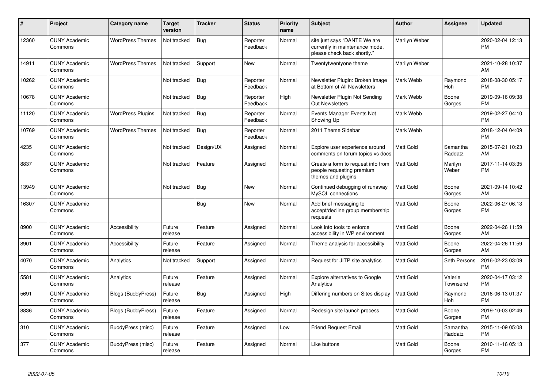| #     | Project                         | <b>Category name</b>      | <b>Target</b><br>version | <b>Tracker</b> | <b>Status</b>        | Priority<br>name | <b>Subject</b>                                                                                | <b>Author</b>    | <b>Assignee</b>     | <b>Updated</b>                |
|-------|---------------------------------|---------------------------|--------------------------|----------------|----------------------|------------------|-----------------------------------------------------------------------------------------------|------------------|---------------------|-------------------------------|
| 12360 | <b>CUNY Academic</b><br>Commons | <b>WordPress Themes</b>   | Not tracked              | Bug            | Reporter<br>Feedback | Normal           | site just says "DANTE We are<br>currently in maintenance mode,<br>please check back shortly.' | Marilyn Weber    |                     | 2020-02-04 12:13<br><b>PM</b> |
| 14911 | <b>CUNY Academic</b><br>Commons | <b>WordPress Themes</b>   | Not tracked              | Support        | <b>New</b>           | Normal           | Twentytwentyone theme                                                                         | Marilyn Weber    |                     | 2021-10-28 10:37<br>AM        |
| 10262 | <b>CUNY Academic</b><br>Commons |                           | Not tracked              | <b>Bug</b>     | Reporter<br>Feedback | Normal           | Newsletter Plugin: Broken Image<br>at Bottom of All Newsletters                               | Mark Webb        | Raymond<br>Hoh      | 2018-08-30 05:17<br><b>PM</b> |
| 10678 | <b>CUNY Academic</b><br>Commons |                           | Not tracked              | Bug            | Reporter<br>Feedback | High             | Newsletter Plugin Not Sending<br>Out Newsletters                                              | Mark Webb        | Boone<br>Gorges     | 2019-09-16 09:38<br><b>PM</b> |
| 11120 | <b>CUNY Academic</b><br>Commons | <b>WordPress Plugins</b>  | Not tracked              | Bug            | Reporter<br>Feedback | Normal           | Events Manager Events Not<br>Showing Up                                                       | Mark Webb        |                     | 2019-02-27 04:10<br><b>PM</b> |
| 10769 | <b>CUNY Academic</b><br>Commons | <b>WordPress Themes</b>   | Not tracked              | Bug            | Reporter<br>Feedback | Normal           | 2011 Theme Sidebar                                                                            | Mark Webb        |                     | 2018-12-04 04:09<br><b>PM</b> |
| 4235  | <b>CUNY Academic</b><br>Commons |                           | Not tracked              | Design/UX      | Assigned             | Normal           | Explore user experience around<br>comments on forum topics vs docs                            | <b>Matt Gold</b> | Samantha<br>Raddatz | 2015-07-21 10:23<br>AM        |
| 8837  | <b>CUNY Academic</b><br>Commons |                           | Not tracked              | Feature        | Assigned             | Normal           | Create a form to request info from<br>people requesting premium<br>themes and plugins         | <b>Matt Gold</b> | Marilyn<br>Weber    | 2017-11-14 03:35<br><b>PM</b> |
| 13949 | <b>CUNY Academic</b><br>Commons |                           | Not tracked              | Bug            | New                  | Normal           | Continued debugging of runaway<br>MySQL connections                                           | <b>Matt Gold</b> | Boone<br>Gorges     | 2021-09-14 10:42<br>AM        |
| 16307 | <b>CUNY Academic</b><br>Commons |                           |                          | Bug            | <b>New</b>           | Normal           | Add brief messaging to<br>accept/decline group membership<br>requests                         | <b>Matt Gold</b> | Boone<br>Gorges     | 2022-06-27 06:13<br><b>PM</b> |
| 8900  | <b>CUNY Academic</b><br>Commons | Accessibility             | Future<br>release        | Feature        | Assigned             | Normal           | Look into tools to enforce<br>accessibility in WP environment                                 | <b>Matt Gold</b> | Boone<br>Gorges     | 2022-04-26 11:59<br>AM        |
| 8901  | <b>CUNY Academic</b><br>Commons | Accessibility             | Future<br>release        | Feature        | Assigned             | Normal           | Theme analysis for accessibility                                                              | <b>Matt Gold</b> | Boone<br>Gorges     | 2022-04-26 11:59<br>AM        |
| 4070  | <b>CUNY Academic</b><br>Commons | Analytics                 | Not tracked              | Support        | Assigned             | Normal           | Request for JITP site analytics                                                               | <b>Matt Gold</b> | Seth Persons        | 2016-02-23 03:09<br><b>PM</b> |
| 5581  | <b>CUNY Academic</b><br>Commons | Analytics                 | Future<br>release        | Feature        | Assigned             | Normal           | Explore alternatives to Google<br>Analytics                                                   | <b>Matt Gold</b> | Valerie<br>Townsend | 2020-04-17 03:12<br><b>PM</b> |
| 5691  | <b>CUNY Academic</b><br>Commons | <b>Blogs (BuddyPress)</b> | Future<br>release        | Bug            | Assigned             | High             | Differing numbers on Sites display                                                            | <b>Matt Gold</b> | Raymond<br>Hoh      | 2016-06-13 01:37<br><b>PM</b> |
| 8836  | <b>CUNY Academic</b><br>Commons | <b>Blogs (BuddyPress)</b> | Future<br>release        | Feature        | Assigned             | Normal           | Redesign site launch process                                                                  | <b>Matt Gold</b> | Boone<br>Gorges     | 2019-10-03 02:49<br><b>PM</b> |
| 310   | <b>CUNY Academic</b><br>Commons | BuddyPress (misc)         | Future<br>release        | Feature        | Assigned             | Low              | <b>Friend Request Email</b>                                                                   | <b>Matt Gold</b> | Samantha<br>Raddatz | 2015-11-09 05:08<br><b>PM</b> |
| 377   | <b>CUNY Academic</b><br>Commons | BuddyPress (misc)         | Future<br>release        | Feature        | Assigned             | Normal           | Like buttons                                                                                  | <b>Matt Gold</b> | Boone<br>Gorges     | 2010-11-16 05:13<br><b>PM</b> |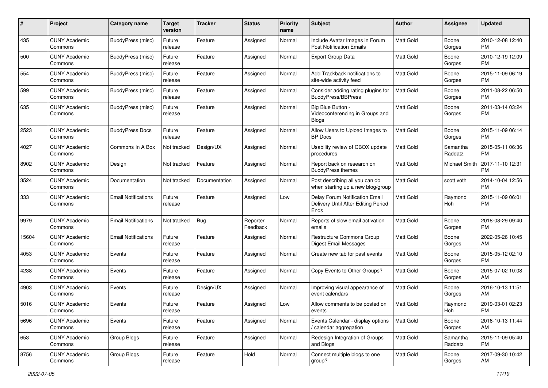| #     | Project                         | <b>Category name</b>       | <b>Target</b><br>version | <b>Tracker</b> | <b>Status</b>        | Priority<br>name | Subject                                                                       | Author           | <b>Assignee</b>      | <b>Updated</b>                |
|-------|---------------------------------|----------------------------|--------------------------|----------------|----------------------|------------------|-------------------------------------------------------------------------------|------------------|----------------------|-------------------------------|
| 435   | <b>CUNY Academic</b><br>Commons | BuddyPress (misc)          | Future<br>release        | Feature        | Assigned             | Normal           | Include Avatar Images in Forum<br><b>Post Notification Emails</b>             | <b>Matt Gold</b> | Boone<br>Gorges      | 2010-12-08 12:40<br>PM.       |
| 500   | <b>CUNY Academic</b><br>Commons | BuddyPress (misc)          | Future<br>release        | Feature        | Assigned             | Normal           | <b>Export Group Data</b>                                                      | Matt Gold        | Boone<br>Gorges      | 2010-12-19 12:09<br><b>PM</b> |
| 554   | <b>CUNY Academic</b><br>Commons | BuddyPress (misc)          | Future<br>release        | Feature        | Assigned             | Normal           | Add Trackback notifications to<br>site-wide activity feed                     | <b>Matt Gold</b> | Boone<br>Gorges      | 2015-11-09 06:19<br><b>PM</b> |
| 599   | <b>CUNY Academic</b><br>Commons | BuddyPress (misc)          | Future<br>release        | Feature        | Assigned             | Normal           | Consider adding rating plugins for<br><b>BuddvPress/BBPress</b>               | <b>Matt Gold</b> | Boone<br>Gorges      | 2011-08-22 06:50<br>PM.       |
| 635   | <b>CUNY Academic</b><br>Commons | BuddyPress (misc)          | Future<br>release        | Feature        | Assigned             | Normal           | Big Blue Button -<br>Videoconferencing in Groups and<br><b>Blogs</b>          | <b>Matt Gold</b> | Boone<br>Gorges      | 2011-03-14 03:24<br><b>PM</b> |
| 2523  | <b>CUNY Academic</b><br>Commons | <b>BuddyPress Docs</b>     | Future<br>release        | Feature        | Assigned             | Normal           | Allow Users to Upload Images to<br><b>BP</b> Docs                             | <b>Matt Gold</b> | Boone<br>Gorges      | 2015-11-09 06:14<br><b>PM</b> |
| 4027  | <b>CUNY Academic</b><br>Commons | Commons In A Box           | Not tracked              | Design/UX      | Assigned             | Normal           | Usability review of CBOX update<br>procedures                                 | <b>Matt Gold</b> | Samantha<br>Raddatz  | 2015-05-11 06:36<br><b>PM</b> |
| 8902  | <b>CUNY Academic</b><br>Commons | Design                     | Not tracked              | Feature        | Assigned             | Normal           | Report back on research on<br><b>BuddyPress themes</b>                        | <b>Matt Gold</b> | <b>Michael Smith</b> | 2017-11-10 12:31<br><b>PM</b> |
| 3524  | <b>CUNY Academic</b><br>Commons | Documentation              | Not tracked              | Documentation  | Assigned             | Normal           | Post describing all you can do<br>when starting up a new blog/group           | <b>Matt Gold</b> | scott voth           | 2014-10-04 12:56<br><b>PM</b> |
| 333   | <b>CUNY Academic</b><br>Commons | <b>Email Notifications</b> | Future<br>release        | Feature        | Assigned             | Low              | Delay Forum Notification Email<br>Delivery Until After Editing Period<br>Ends | <b>Matt Gold</b> | Raymond<br>Hoh       | 2015-11-09 06:01<br><b>PM</b> |
| 9979  | <b>CUNY Academic</b><br>Commons | <b>Email Notifications</b> | Not tracked              | Bug            | Reporter<br>Feedback | Normal           | Reports of slow email activation<br>emails                                    | <b>Matt Gold</b> | Boone<br>Gorges      | 2018-08-29 09:40<br><b>PM</b> |
| 15604 | <b>CUNY Academic</b><br>Commons | <b>Email Notifications</b> | Future<br>release        | Feature        | Assigned             | Normal           | Restructure Commons Group<br><b>Digest Email Messages</b>                     | Matt Gold        | Boone<br>Gorges      | 2022-05-26 10:45<br>AM        |
| 4053  | <b>CUNY Academic</b><br>Commons | Events                     | Future<br>release        | Feature        | Assigned             | Normal           | Create new tab for past events                                                | Matt Gold        | Boone<br>Gorges      | 2015-05-12 02:10<br>PM.       |
| 4238  | <b>CUNY Academic</b><br>Commons | Events                     | Future<br>release        | Feature        | Assigned             | Normal           | Copy Events to Other Groups?                                                  | Matt Gold        | Boone<br>Gorges      | 2015-07-02 10:08<br>AM        |
| 4903  | <b>CUNY Academic</b><br>Commons | Events                     | Future<br>release        | Design/UX      | Assigned             | Normal           | Improving visual appearance of<br>event calendars                             | Matt Gold        | Boone<br>Gorges      | 2016-10-13 11:51<br>AM.       |
| 5016  | <b>CUNY Academic</b><br>Commons | Events                     | Future<br>release        | Feature        | Assigned             | Low              | Allow comments to be posted on<br>events                                      | Matt Gold        | Raymond<br>Hoh       | 2019-03-01 02:23<br><b>PM</b> |
| 5696  | <b>CUNY Academic</b><br>Commons | Events                     | Future<br>release        | Feature        | Assigned             | Normal           | Events Calendar - display options<br>/ calendar aggregation                   | <b>Matt Gold</b> | Boone<br>Gorges      | 2016-10-13 11:44<br>AM        |
| 653   | <b>CUNY Academic</b><br>Commons | Group Blogs                | Future<br>release        | Feature        | Assigned             | Normal           | Redesign Integration of Groups<br>and Blogs                                   | Matt Gold        | Samantha<br>Raddatz  | 2015-11-09 05:40<br><b>PM</b> |
| 8756  | <b>CUNY Academic</b><br>Commons | Group Blogs                | Future<br>release        | Feature        | Hold                 | Normal           | Connect multiple blogs to one<br>group?                                       | Matt Gold        | Boone<br>Gorges      | 2017-09-30 10:42<br>AM        |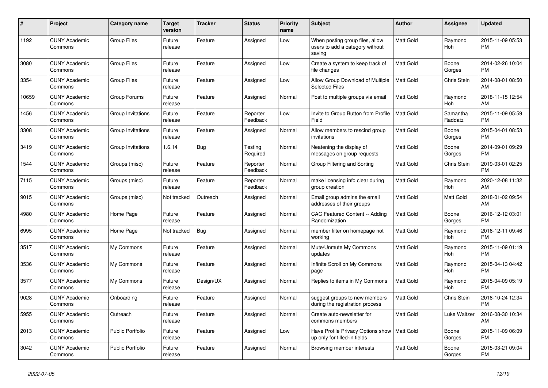| #     | <b>Project</b>                  | <b>Category name</b> | <b>Target</b><br>version | <b>Tracker</b> | <b>Status</b>        | Priority<br>name | <b>Subject</b>                                                                | <b>Author</b>    | Assignee            | <b>Updated</b>                |
|-------|---------------------------------|----------------------|--------------------------|----------------|----------------------|------------------|-------------------------------------------------------------------------------|------------------|---------------------|-------------------------------|
| 1192  | <b>CUNY Academic</b><br>Commons | <b>Group Files</b>   | Future<br>release        | Feature        | Assigned             | Low              | When posting group files, allow<br>users to add a category without<br>saving  | <b>Matt Gold</b> | Raymond<br>Hoh      | 2015-11-09 05:53<br><b>PM</b> |
| 3080  | <b>CUNY Academic</b><br>Commons | <b>Group Files</b>   | Future<br>release        | Feature        | Assigned             | Low              | Create a system to keep track of<br>file changes                              | <b>Matt Gold</b> | Boone<br>Gorges     | 2014-02-26 10:04<br><b>PM</b> |
| 3354  | <b>CUNY Academic</b><br>Commons | <b>Group Files</b>   | Future<br>release        | Feature        | Assigned             | Low              | Allow Group Download of Multiple<br><b>Selected Files</b>                     | <b>Matt Gold</b> | Chris Stein         | 2014-08-01 08:50<br>AM        |
| 10659 | <b>CUNY Academic</b><br>Commons | Group Forums         | Future<br>release        | Feature        | Assigned             | Normal           | Post to multiple groups via email                                             | <b>Matt Gold</b> | Raymond<br>Hoh      | 2018-11-15 12:54<br>AM        |
| 1456  | <b>CUNY Academic</b><br>Commons | Group Invitations    | Future<br>release        | Feature        | Reporter<br>Feedback | Low              | Invite to Group Button from Profile<br>Field                                  | <b>Matt Gold</b> | Samantha<br>Raddatz | 2015-11-09 05:59<br><b>PM</b> |
| 3308  | <b>CUNY Academic</b><br>Commons | Group Invitations    | Future<br>release        | Feature        | Assigned             | Normal           | Allow members to rescind group<br>invitations                                 | <b>Matt Gold</b> | Boone<br>Gorges     | 2015-04-01 08:53<br><b>PM</b> |
| 3419  | <b>CUNY Academic</b><br>Commons | Group Invitations    | 1.6.14                   | Bug            | Testing<br>Required  | Normal           | Neatening the display of<br>messages on group requests                        | <b>Matt Gold</b> | Boone<br>Gorges     | 2014-09-01 09:29<br><b>PM</b> |
| 1544  | <b>CUNY Academic</b><br>Commons | Groups (misc)        | Future<br>release        | Feature        | Reporter<br>Feedback | Normal           | Group Filtering and Sorting                                                   | <b>Matt Gold</b> | Chris Stein         | 2019-03-01 02:25<br><b>PM</b> |
| 7115  | <b>CUNY Academic</b><br>Commons | Groups (misc)        | Future<br>release        | Feature        | Reporter<br>Feedback | Normal           | make licensing info clear during<br>group creation                            | <b>Matt Gold</b> | Raymond<br>Hoh      | 2020-12-08 11:32<br>AM        |
| 9015  | <b>CUNY Academic</b><br>Commons | Groups (misc)        | Not tracked              | Outreach       | Assigned             | Normal           | Email group admins the email<br>addresses of their groups                     | <b>Matt Gold</b> | Matt Gold           | 2018-01-02 09:54<br>AM        |
| 4980  | <b>CUNY Academic</b><br>Commons | Home Page            | Future<br>release        | Feature        | Assigned             | Normal           | CAC Featured Content -- Adding<br>Randomization                               | <b>Matt Gold</b> | Boone<br>Gorges     | 2016-12-12 03:01<br><b>PM</b> |
| 6995  | <b>CUNY Academic</b><br>Commons | Home Page            | Not tracked              | <b>Bug</b>     | Assigned             | Normal           | member filter on homepage not<br>working                                      | <b>Matt Gold</b> | Raymond<br>Hoh      | 2016-12-11 09:46<br><b>PM</b> |
| 3517  | <b>CUNY Academic</b><br>Commons | My Commons           | Future<br>release        | Feature        | Assigned             | Normal           | Mute/Unmute My Commons<br>updates                                             | <b>Matt Gold</b> | Raymond<br>Hoh      | 2015-11-09 01:19<br><b>PM</b> |
| 3536  | <b>CUNY Academic</b><br>Commons | My Commons           | Future<br>release        | Feature        | Assigned             | Normal           | Infinite Scroll on My Commons<br>page                                         | <b>Matt Gold</b> | Raymond<br>Hoh      | 2015-04-13 04:42<br><b>PM</b> |
| 3577  | <b>CUNY Academic</b><br>Commons | My Commons           | Future<br>release        | Design/UX      | Assigned             | Normal           | Replies to items in My Commons                                                | <b>Matt Gold</b> | Raymond<br>Hoh      | 2015-04-09 05:19<br><b>PM</b> |
| 9028  | <b>CUNY Academic</b><br>Commons | Onboarding           | Future<br>release        | Feature        | Assigned             | Normal           | suggest groups to new members<br>during the registration process              | <b>Matt Gold</b> | Chris Stein         | 2018-10-24 12:34<br><b>PM</b> |
| 5955  | <b>CUNY Academic</b><br>Commons | Outreach             | Future<br>release        | Feature        | Assigned             | Normal           | Create auto-newsletter for<br>commons members                                 | <b>Matt Gold</b> | Luke Waltzer        | 2016-08-30 10:34<br>AM        |
| 2013  | <b>CUNY Academic</b><br>Commons | Public Portfolio     | Future<br>release        | Feature        | Assigned             | Low              | Have Profile Privacy Options show   Matt Gold<br>up only for filled-in fields |                  | Boone<br>Gorges     | 2015-11-09 06:09<br><b>PM</b> |
| 3042  | <b>CUNY Academic</b><br>Commons | Public Portfolio     | Future<br>release        | Feature        | Assigned             | Normal           | Browsing member interests                                                     | <b>Matt Gold</b> | Boone<br>Gorges     | 2015-03-21 09:04<br><b>PM</b> |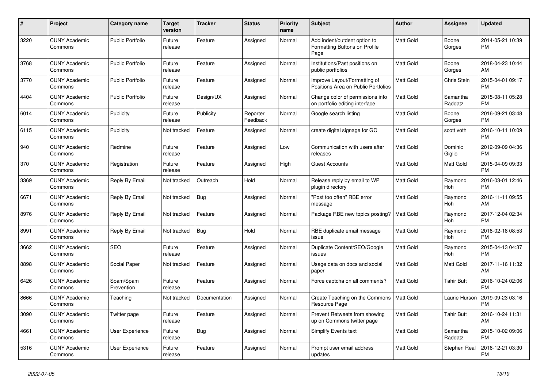| #    | <b>Project</b>                  | <b>Category name</b>    | <b>Target</b><br>version | <b>Tracker</b> | <b>Status</b>        | Priority<br>name | <b>Subject</b>                                                        | <b>Author</b>    | Assignee            | <b>Updated</b>                |
|------|---------------------------------|-------------------------|--------------------------|----------------|----------------------|------------------|-----------------------------------------------------------------------|------------------|---------------------|-------------------------------|
| 3220 | <b>CUNY Academic</b><br>Commons | <b>Public Portfolio</b> | Future<br>release        | Feature        | Assigned             | Normal           | Add indent/outdent option to<br>Formatting Buttons on Profile<br>Page | <b>Matt Gold</b> | Boone<br>Gorges     | 2014-05-21 10:39<br><b>PM</b> |
| 3768 | <b>CUNY Academic</b><br>Commons | <b>Public Portfolio</b> | Future<br>release        | Feature        | Assigned             | Normal           | Institutions/Past positions on<br>public portfolios                   | <b>Matt Gold</b> | Boone<br>Gorges     | 2018-04-23 10:44<br>AM        |
| 3770 | <b>CUNY Academic</b><br>Commons | <b>Public Portfolio</b> | Future<br>release        | Feature        | Assigned             | Normal           | Improve Layout/Formatting of<br>Positions Area on Public Portfolios   | <b>Matt Gold</b> | Chris Stein         | 2015-04-01 09:17<br><b>PM</b> |
| 4404 | <b>CUNY Academic</b><br>Commons | <b>Public Portfolio</b> | Future<br>release        | Design/UX      | Assigned             | Normal           | Change color of permissions info<br>on portfolio editing interface    | Matt Gold        | Samantha<br>Raddatz | 2015-08-11 05:28<br><b>PM</b> |
| 6014 | <b>CUNY Academic</b><br>Commons | Publicity               | Future<br>release        | Publicity      | Reporter<br>Feedback | Normal           | Google search listing                                                 | <b>Matt Gold</b> | Boone<br>Gorges     | 2016-09-21 03:48<br><b>PM</b> |
| 6115 | <b>CUNY Academic</b><br>Commons | Publicity               | Not tracked              | Feature        | Assigned             | Normal           | create digital signage for GC                                         | <b>Matt Gold</b> | scott voth          | 2016-10-11 10:09<br><b>PM</b> |
| 940  | <b>CUNY Academic</b><br>Commons | Redmine                 | Future<br>release        | Feature        | Assigned             | Low              | Communication with users after<br>releases                            | <b>Matt Gold</b> | Dominic<br>Giglio   | 2012-09-09 04:36<br><b>PM</b> |
| 370  | <b>CUNY Academic</b><br>Commons | Registration            | Future<br>release        | Feature        | Assigned             | High             | <b>Guest Accounts</b>                                                 | <b>Matt Gold</b> | Matt Gold           | 2015-04-09 09:33<br><b>PM</b> |
| 3369 | <b>CUNY Academic</b><br>Commons | Reply By Email          | Not tracked              | Outreach       | Hold                 | Normal           | Release reply by email to WP<br>plugin directory                      | <b>Matt Gold</b> | Raymond<br>Hoh      | 2016-03-01 12:46<br><b>PM</b> |
| 6671 | <b>CUNY Academic</b><br>Commons | Reply By Email          | Not tracked              | Bug            | Assigned             | Normal           | "Post too often" RBE error<br>message                                 | <b>Matt Gold</b> | Raymond<br>Hoh      | 2016-11-11 09:55<br>AM        |
| 8976 | <b>CUNY Academic</b><br>Commons | Reply By Email          | Not tracked              | Feature        | Assigned             | Normal           | Package RBE new topics posting?                                       | <b>Matt Gold</b> | Raymond<br>Hoh      | 2017-12-04 02:34<br><b>PM</b> |
| 8991 | <b>CUNY Academic</b><br>Commons | Reply By Email          | Not tracked              | Bug            | Hold                 | Normal           | RBE duplicate email message<br>issue                                  | <b>Matt Gold</b> | Raymond<br>Hoh      | 2018-02-18 08:53<br><b>PM</b> |
| 3662 | <b>CUNY Academic</b><br>Commons | SEO                     | Future<br>release        | Feature        | Assigned             | Normal           | Duplicate Content/SEO/Google<br>issues                                | <b>Matt Gold</b> | Raymond<br>Hoh      | 2015-04-13 04:37<br><b>PM</b> |
| 8898 | <b>CUNY Academic</b><br>Commons | Social Paper            | Not tracked              | Feature        | Assigned             | Normal           | Usage data on docs and social<br>paper                                | <b>Matt Gold</b> | Matt Gold           | 2017-11-16 11:32<br>AM        |
| 6426 | <b>CUNY Academic</b><br>Commons | Spam/Spam<br>Prevention | Future<br>release        | Feature        | Assigned             | Normal           | Force captcha on all comments?                                        | <b>Matt Gold</b> | <b>Tahir Butt</b>   | 2016-10-24 02:06<br><b>PM</b> |
| 8666 | <b>CUNY Academic</b><br>Commons | Teaching                | Not tracked              | Documentation  | Assigned             | Normal           | Create Teaching on the Commons<br>Resource Page                       | Matt Gold        | Laurie Hurson       | 2019-09-23 03:16<br><b>PM</b> |
| 3090 | <b>CUNY Academic</b><br>Commons | Twitter page            | Future<br>release        | Feature        | Assigned             | Normal           | Prevent Retweets from showing<br>up on Commons twitter page           | <b>Matt Gold</b> | Tahir Butt          | 2016-10-24 11:31<br>AM        |
| 4661 | <b>CUNY Academic</b><br>Commons | User Experience         | Future<br>release        | Bug            | Assigned             | Normal           | <b>Simplify Events text</b>                                           | <b>Matt Gold</b> | Samantha<br>Raddatz | 2015-10-02 09:06<br><b>PM</b> |
| 5316 | <b>CUNY Academic</b><br>Commons | User Experience         | Future<br>release        | Feature        | Assigned             | Normal           | Prompt user email address<br>updates                                  | <b>Matt Gold</b> | Stephen Real        | 2016-12-21 03:30<br><b>PM</b> |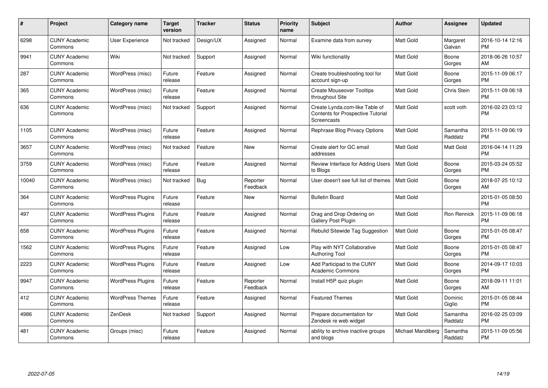| #     | Project                         | <b>Category name</b>     | <b>Target</b><br>version | <b>Tracker</b> | <b>Status</b>        | Priority<br>name | Subject                                                                                   | <b>Author</b>     | <b>Assignee</b>     | <b>Updated</b>                |
|-------|---------------------------------|--------------------------|--------------------------|----------------|----------------------|------------------|-------------------------------------------------------------------------------------------|-------------------|---------------------|-------------------------------|
| 6298  | <b>CUNY Academic</b><br>Commons | User Experience          | Not tracked              | Design/UX      | Assigned             | Normal           | Examine data from survey                                                                  | Matt Gold         | Margaret<br>Galvan  | 2016-10-14 12:16<br><b>PM</b> |
| 9941  | <b>CUNY Academic</b><br>Commons | Wiki                     | Not tracked              | Support        | Assigned             | Normal           | Wiki functionality                                                                        | <b>Matt Gold</b>  | Boone<br>Gorges     | 2018-06-26 10:57<br>AM        |
| 287   | <b>CUNY Academic</b><br>Commons | WordPress (misc)         | Future<br>release        | Feature        | Assigned             | Normal           | Create troubleshooting tool for<br>account sign-up                                        | <b>Matt Gold</b>  | Boone<br>Gorges     | 2015-11-09 06:17<br><b>PM</b> |
| 365   | <b>CUNY Academic</b><br>Commons | WordPress (misc)         | Future<br>release        | Feature        | Assigned             | Normal           | <b>Create Mouseover Tooltips</b><br>throughout Site                                       | <b>Matt Gold</b>  | Chris Stein         | 2015-11-09 06:18<br><b>PM</b> |
| 636   | <b>CUNY Academic</b><br>Commons | WordPress (misc)         | Not tracked              | Support        | Assigned             | Normal           | Create Lynda.com-like Table of<br><b>Contents for Prospective Tutorial</b><br>Screencasts | <b>Matt Gold</b>  | scott voth          | 2016-02-23 03:12<br><b>PM</b> |
| 1105  | <b>CUNY Academic</b><br>Commons | WordPress (misc)         | Future<br>release        | Feature        | Assigned             | Normal           | Rephrase Blog Privacy Options                                                             | <b>Matt Gold</b>  | Samantha<br>Raddatz | 2015-11-09 06:19<br><b>PM</b> |
| 3657  | <b>CUNY Academic</b><br>Commons | WordPress (misc)         | Not tracked              | Feature        | New                  | Normal           | Create alert for GC email<br>addresses                                                    | Matt Gold         | Matt Gold           | 2016-04-14 11:29<br><b>PM</b> |
| 3759  | <b>CUNY Academic</b><br>Commons | WordPress (misc)         | Future<br>release        | Feature        | Assigned             | Normal           | Review Interface for Adding Users<br>to Blogs                                             | <b>Matt Gold</b>  | Boone<br>Gorges     | 2015-03-24 05:52<br><b>PM</b> |
| 10040 | <b>CUNY Academic</b><br>Commons | WordPress (misc)         | Not tracked              | Bug            | Reporter<br>Feedback | Normal           | User doesn't see full list of themes                                                      | <b>Matt Gold</b>  | Boone<br>Gorges     | 2018-07-25 10:12<br>AM        |
| 364   | <b>CUNY Academic</b><br>Commons | <b>WordPress Plugins</b> | Future<br>release        | Feature        | <b>New</b>           | Normal           | <b>Bulletin Board</b>                                                                     | Matt Gold         |                     | 2015-01-05 08:50<br><b>PM</b> |
| 497   | <b>CUNY Academic</b><br>Commons | <b>WordPress Plugins</b> | Future<br>release        | Feature        | Assigned             | Normal           | Drag and Drop Ordering on<br>Gallery Post Plugin                                          | Matt Gold         | Ron Rennick         | 2015-11-09 06:18<br><b>PM</b> |
| 658   | <b>CUNY Academic</b><br>Commons | <b>WordPress Plugins</b> | Future<br>release        | Feature        | Assigned             | Normal           | Rebulid Sitewide Tag Suggestion                                                           | <b>Matt Gold</b>  | Boone<br>Gorges     | 2015-01-05 08:47<br><b>PM</b> |
| 1562  | <b>CUNY Academic</b><br>Commons | <b>WordPress Plugins</b> | Future<br>release        | Feature        | Assigned             | Low              | Play with NYT Collaborative<br><b>Authoring Tool</b>                                      | <b>Matt Gold</b>  | Boone<br>Gorges     | 2015-01-05 08:47<br><b>PM</b> |
| 2223  | <b>CUNY Academic</b><br>Commons | <b>WordPress Plugins</b> | Future<br>release        | Feature        | Assigned             | Low              | Add Participad to the CUNY<br><b>Academic Commons</b>                                     | Matt Gold         | Boone<br>Gorges     | 2014-09-17 10:03<br><b>PM</b> |
| 9947  | <b>CUNY Academic</b><br>Commons | <b>WordPress Plugins</b> | Future<br>release        | Feature        | Reporter<br>Feedback | Normal           | Install H5P quiz plugin                                                                   | <b>Matt Gold</b>  | Boone<br>Gorges     | 2018-09-11 11:01<br>AM        |
| 412   | <b>CUNY Academic</b><br>Commons | <b>WordPress Themes</b>  | Future<br>release        | Feature        | Assigned             | Normal           | <b>Featured Themes</b>                                                                    | Matt Gold         | Dominic<br>Giglio   | 2015-01-05 08:44<br><b>PM</b> |
| 4986  | <b>CUNY Academic</b><br>Commons | ZenDesk                  | Not tracked              | Support        | Assigned             | Normal           | Prepare documentation for<br>Zendesk re web widget                                        | Matt Gold         | Samantha<br>Raddatz | 2016-02-25 03:09<br><b>PM</b> |
| 481   | CUNY Academic<br>Commons        | Groups (misc)            | Future<br>release        | Feature        | Assigned             | Normal           | ability to archive inactive groups<br>and blogs                                           | Michael Mandiberg | Samantha<br>Raddatz | 2015-11-09 05:56<br><b>PM</b> |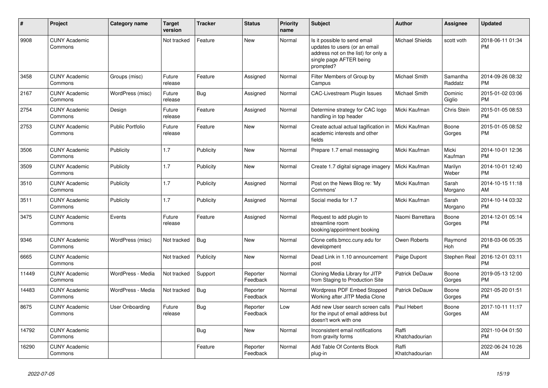| $\vert$ # | <b>Project</b>                  | Category name           | <b>Target</b><br>version | <b>Tracker</b> | <b>Status</b>        | Priority<br>name | <b>Subject</b>                                                                                                                               | <b>Author</b>           | Assignee              | <b>Updated</b>                |
|-----------|---------------------------------|-------------------------|--------------------------|----------------|----------------------|------------------|----------------------------------------------------------------------------------------------------------------------------------------------|-------------------------|-----------------------|-------------------------------|
| 9908      | <b>CUNY Academic</b><br>Commons |                         | Not tracked              | Feature        | <b>New</b>           | Normal           | Is it possible to send email<br>updates to users (or an email<br>address not on the list) for only a<br>single page AFTER being<br>prompted? | <b>Michael Shields</b>  | scott voth            | 2018-06-11 01:34<br><b>PM</b> |
| 3458      | <b>CUNY Academic</b><br>Commons | Groups (misc)           | Future<br>release        | Feature        | Assigned             | Normal           | Filter Members of Group by<br>Campus                                                                                                         | <b>Michael Smith</b>    | Samantha<br>Raddatz   | 2014-09-26 08:32<br><b>PM</b> |
| 2167      | <b>CUNY Academic</b><br>Commons | WordPress (misc)        | Future<br>release        | Bug            | Assigned             | Normal           | <b>CAC-Livestream Plugin Issues</b>                                                                                                          | Michael Smith           | Dominic<br>Giglio     | 2015-01-02 03:06<br><b>PM</b> |
| 2754      | <b>CUNY Academic</b><br>Commons | Design                  | Future<br>release        | Feature        | Assigned             | Normal           | Determine strategy for CAC logo<br>handling in top header                                                                                    | Micki Kaufman           | Chris Stein           | 2015-01-05 08:53<br><b>PM</b> |
| 2753      | <b>CUNY Academic</b><br>Commons | <b>Public Portfolio</b> | Future<br>release        | Feature        | <b>New</b>           | Normal           | Create actual actual tagification in<br>academic interests and other<br>fields                                                               | Micki Kaufman           | Boone<br>Gorges       | 2015-01-05 08:52<br><b>PM</b> |
| 3506      | <b>CUNY Academic</b><br>Commons | Publicity               | 1.7                      | Publicity      | New                  | Normal           | Prepare 1.7 email messaging                                                                                                                  | Micki Kaufman           | Micki<br>Kaufman      | 2014-10-01 12:36<br><b>PM</b> |
| 3509      | <b>CUNY Academic</b><br>Commons | Publicity               | 1.7                      | Publicity      | New                  | Normal           | Create 1.7 digital signage imagery                                                                                                           | Micki Kaufman           | Marilyn<br>Weber      | 2014-10-01 12:40<br><b>PM</b> |
| 3510      | <b>CUNY Academic</b><br>Commons | Publicity               | 1.7                      | Publicity      | Assigned             | Normal           | Post on the News Blog re: 'My<br>Commons'                                                                                                    | Micki Kaufman           | Sarah<br>Morgano      | 2014-10-15 11:18<br>AM        |
| 3511      | <b>CUNY Academic</b><br>Commons | Publicity               | 1.7                      | Publicity      | Assigned             | Normal           | Social media for 1.7                                                                                                                         | Micki Kaufman           | Sarah<br>Morgano      | 2014-10-14 03:32<br><b>PM</b> |
| 3475      | <b>CUNY Academic</b><br>Commons | Events                  | Future<br>release        | Feature        | Assigned             | Normal           | Request to add plugin to<br>streamline room<br>booking/appointment booking                                                                   | Naomi Barrettara        | Boone<br>Gorges       | 2014-12-01 05:14<br><b>PM</b> |
| 9346      | <b>CUNY Academic</b><br>Commons | WordPress (misc)        | Not tracked              | Bug            | <b>New</b>           | Normal           | Clone cetls.bmcc.cuny.edu for<br>development                                                                                                 | Owen Roberts            | Raymond<br><b>Hoh</b> | 2018-03-06 05:35<br><b>PM</b> |
| 6665      | <b>CUNY Academic</b><br>Commons |                         | Not tracked              | Publicity      | <b>New</b>           | Normal           | Dead Link in 1.10 announcement<br>post                                                                                                       | Paige Dupont            | Stephen Real          | 2016-12-01 03:11<br><b>PM</b> |
| 11449     | <b>CUNY Academic</b><br>Commons | WordPress - Media       | Not tracked              | Support        | Reporter<br>Feedback | Normal           | Cloning Media Library for JITP<br>from Staging to Production Site                                                                            | Patrick DeDauw          | Boone<br>Gorges       | 2019-05-13 12:00<br><b>PM</b> |
| 14483     | <b>CUNY Academic</b><br>Commons | WordPress - Media       | Not tracked              | Bug            | Reporter<br>Feedback | Normal           | <b>Wordpress PDF Embed Stopped</b><br>Working after JITP Media Clone                                                                         | Patrick DeDauw          | Boone<br>Gorges       | 2021-05-20 01:51<br><b>PM</b> |
| 8675      | <b>CUNY Academic</b><br>Commons | <b>User Onboarding</b>  | Future<br>release        | <b>Bug</b>     | Reporter<br>Feedback | Low              | Add new User search screen calls<br>for the input of email address but<br>doesn't work with one                                              | Paul Hebert             | Boone<br>Gorges       | 2017-10-11 11:17<br>AM        |
| 14792     | <b>CUNY Academic</b><br>Commons |                         |                          | Bug            | New                  | Normal           | Inconsistent email notifications<br>from gravity forms                                                                                       | Raffi<br>Khatchadourian |                       | 2021-10-04 01:50<br><b>PM</b> |
| 16290     | <b>CUNY Academic</b><br>Commons |                         |                          | Feature        | Reporter<br>Feedback | Normal           | Add Table Of Contents Block<br>plug-in                                                                                                       | Raffi<br>Khatchadourian |                       | 2022-06-24 10:26<br>AM        |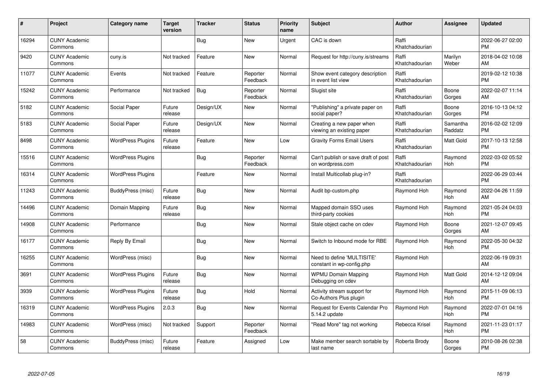| #     | Project                         | <b>Category name</b>     | <b>Target</b><br>version | <b>Tracker</b> | <b>Status</b>        | <b>Priority</b><br>name | <b>Subject</b>                                          | <b>Author</b>           | Assignee            | <b>Updated</b>                |
|-------|---------------------------------|--------------------------|--------------------------|----------------|----------------------|-------------------------|---------------------------------------------------------|-------------------------|---------------------|-------------------------------|
| 16294 | <b>CUNY Academic</b><br>Commons |                          |                          | <b>Bug</b>     | <b>New</b>           | Urgent                  | CAC is down                                             | Raffi<br>Khatchadourian |                     | 2022-06-27 02:00<br><b>PM</b> |
| 9420  | <b>CUNY Academic</b><br>Commons | cuny.is                  | Not tracked              | Feature        | <b>New</b>           | Normal                  | Request for http://cuny.is/streams                      | Raffi<br>Khatchadourian | Marilyn<br>Weber    | 2018-04-02 10:08<br>AM.       |
| 11077 | <b>CUNY Academic</b><br>Commons | Events                   | Not tracked              | Feature        | Reporter<br>Feedback | Normal                  | Show event category description<br>in event list view   | Raffi<br>Khatchadourian |                     | 2019-02-12 10:38<br><b>PM</b> |
| 15242 | <b>CUNY Academic</b><br>Commons | Performance              | Not tracked              | <b>Bug</b>     | Reporter<br>Feedback | Normal                  | Slugist site                                            | Raffi<br>Khatchadourian | Boone<br>Gorges     | 2022-02-07 11:14<br>AM        |
| 5182  | <b>CUNY Academic</b><br>Commons | Social Paper             | Future<br>release        | Design/UX      | <b>New</b>           | Normal                  | "Publishing" a private paper on<br>social paper?        | Raffi<br>Khatchadourian | Boone<br>Gorges     | 2016-10-13 04:12<br><b>PM</b> |
| 5183  | <b>CUNY Academic</b><br>Commons | Social Paper             | Future<br>release        | Design/UX      | New                  | Normal                  | Creating a new paper when<br>viewing an existing paper  | Raffi<br>Khatchadourian | Samantha<br>Raddatz | 2016-02-02 12:09<br><b>PM</b> |
| 8498  | <b>CUNY Academic</b><br>Commons | <b>WordPress Plugins</b> | Future<br>release        | Feature        | <b>New</b>           | Low                     | <b>Gravity Forms Email Users</b>                        | Raffi<br>Khatchadourian | Matt Gold           | 2017-10-13 12:58<br><b>PM</b> |
| 15516 | <b>CUNY Academic</b><br>Commons | <b>WordPress Plugins</b> |                          | Bug            | Reporter<br>Feedback | Normal                  | Can't publish or save draft of post<br>on wordpress.com | Raffi<br>Khatchadourian | Raymond<br>Hoh      | 2022-03-02 05:52<br><b>PM</b> |
| 16314 | <b>CUNY Academic</b><br>Commons | <b>WordPress Plugins</b> |                          | Feature        | New                  | Normal                  | Install Multicollab plug-in?                            | Raffi<br>Khatchadourian |                     | 2022-06-29 03:44<br><b>PM</b> |
| 11243 | <b>CUNY Academic</b><br>Commons | BuddyPress (misc)        | Future<br>release        | Bug            | <b>New</b>           | Normal                  | Audit bp-custom.php                                     | Raymond Hoh             | Raymond<br>Hoh      | 2022-04-26 11:59<br>AM        |
| 14496 | <b>CUNY Academic</b><br>Commons | Domain Mapping           | Future<br>release        | Bug            | New                  | Normal                  | Mapped domain SSO uses<br>third-party cookies           | Raymond Hoh             | Raymond<br>Hoh      | 2021-05-24 04:03<br><b>PM</b> |
| 14908 | <b>CUNY Academic</b><br>Commons | Performance              |                          | <b>Bug</b>     | <b>New</b>           | Normal                  | Stale object cache on cdev                              | Raymond Hoh             | Boone<br>Gorges     | 2021-12-07 09:45<br>AM        |
| 16177 | <b>CUNY Academic</b><br>Commons | Reply By Email           |                          | Bug            | <b>New</b>           | Normal                  | Switch to Inbound mode for RBE                          | Raymond Hoh             | Raymond<br>Hoh      | 2022-05-30 04:32<br><b>PM</b> |
| 16255 | <b>CUNY Academic</b><br>Commons | WordPress (misc)         |                          | <b>Bug</b>     | New                  | Normal                  | Need to define 'MULTISITE'<br>constant in wp-config.php | Raymond Hoh             |                     | 2022-06-19 09:31<br>AM.       |
| 3691  | <b>CUNY Academic</b><br>Commons | <b>WordPress Plugins</b> | Future<br>release        | Bug            | New                  | Normal                  | <b>WPMU Domain Mapping</b><br>Debugging on cdev         | Raymond Hoh             | Matt Gold           | 2014-12-12 09:04<br>AM        |
| 3939  | <b>CUNY Academic</b><br>Commons | <b>WordPress Plugins</b> | Future<br>release        | Bug            | Hold                 | Normal                  | Activity stream support for<br>Co-Authors Plus plugin   | Raymond Hoh             | Raymond<br>Hoh      | 2015-11-09 06:13<br><b>PM</b> |
| 16319 | <b>CUNY Academic</b><br>Commons | <b>WordPress Plugins</b> | 2.0.3                    | <b>Bug</b>     | New                  | Normal                  | <b>Request for Events Calendar Pro</b><br>5.14.2 update | Raymond Hoh             | Raymond<br>Hoh      | 2022-07-01 04:16<br><b>PM</b> |
| 14983 | <b>CUNY Academic</b><br>Commons | WordPress (misc)         | Not tracked              | Support        | Reporter<br>Feedback | Normal                  | "Read More" tag not working                             | Rebecca Krisel          | Raymond<br>Hoh      | 2021-11-23 01:17<br><b>PM</b> |
| 58    | <b>CUNY Academic</b><br>Commons | BuddyPress (misc)        | Future<br>release        | Feature        | Assigned             | Low                     | Make member search sortable by<br>last name             | Roberta Brody           | Boone<br>Gorges     | 2010-08-26 02:38<br>PM        |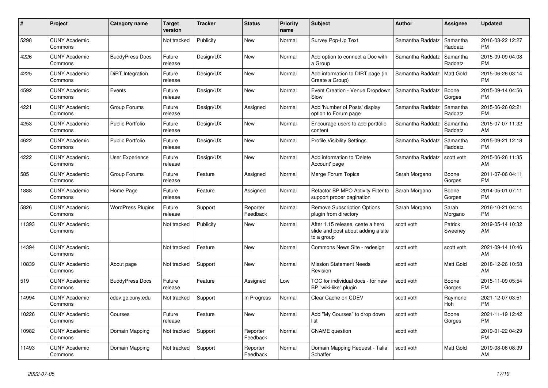| #     | Project                         | Category name            | <b>Target</b><br>version | Tracker   | <b>Status</b>        | <b>Priority</b><br>name | <b>Subject</b>                                                                       | <b>Author</b>    | Assignee            | <b>Updated</b>                |
|-------|---------------------------------|--------------------------|--------------------------|-----------|----------------------|-------------------------|--------------------------------------------------------------------------------------|------------------|---------------------|-------------------------------|
| 5298  | <b>CUNY Academic</b><br>Commons |                          | Not tracked              | Publicity | <b>New</b>           | Normal                  | Survey Pop-Up Text                                                                   | Samantha Raddatz | Samantha<br>Raddatz | 2016-03-22 12:27<br><b>PM</b> |
| 4226  | <b>CUNY Academic</b><br>Commons | <b>BuddyPress Docs</b>   | Future<br>release        | Design/UX | <b>New</b>           | Normal                  | Add option to connect a Doc with<br>a Group                                          | Samantha Raddatz | Samantha<br>Raddatz | 2015-09-09 04:08<br><b>PM</b> |
| 4225  | <b>CUNY Academic</b><br>Commons | DiRT Integration         | Future<br>release        | Design/UX | <b>New</b>           | Normal                  | Add information to DIRT page (in<br>Create a Group)                                  | Samantha Raddatz | Matt Gold           | 2015-06-26 03:14<br><b>PM</b> |
| 4592  | <b>CUNY Academic</b><br>Commons | Events                   | Future<br>release        | Design/UX | New                  | Normal                  | Event Creation - Venue Dropdown<br>Slow                                              | Samantha Raddatz | Boone<br>Gorges     | 2015-09-14 04:56<br><b>PM</b> |
| 4221  | <b>CUNY Academic</b><br>Commons | Group Forums             | Future<br>release        | Design/UX | Assigned             | Normal                  | Add 'Number of Posts' display<br>option to Forum page                                | Samantha Raddatz | Samantha<br>Raddatz | 2015-06-26 02:21<br><b>PM</b> |
| 4253  | <b>CUNY Academic</b><br>Commons | <b>Public Portfolio</b>  | Future<br>release        | Design/UX | New                  | Normal                  | Encourage users to add portfolio<br>content                                          | Samantha Raddatz | Samantha<br>Raddatz | 2015-07-07 11:32<br>AM        |
| 4622  | <b>CUNY Academic</b><br>Commons | <b>Public Portfolio</b>  | Future<br>release        | Design/UX | <b>New</b>           | Normal                  | <b>Profile Visibility Settings</b>                                                   | Samantha Raddatz | Samantha<br>Raddatz | 2015-09-21 12:18<br><b>PM</b> |
| 4222  | <b>CUNY Academic</b><br>Commons | <b>User Experience</b>   | Future<br>release        | Design/UX | <b>New</b>           | Normal                  | Add information to 'Delete<br>Account' page                                          | Samantha Raddatz | scott voth          | 2015-06-26 11:35<br>AM        |
| 585   | <b>CUNY Academic</b><br>Commons | Group Forums             | Future<br>release        | Feature   | Assigned             | Normal                  | Merge Forum Topics                                                                   | Sarah Morgano    | Boone<br>Gorges     | 2011-07-06 04:11<br><b>PM</b> |
| 1888  | <b>CUNY Academic</b><br>Commons | Home Page                | Future<br>release        | Feature   | Assigned             | Normal                  | Refactor BP MPO Activity Filter to<br>support proper pagination                      | Sarah Morgano    | Boone<br>Gorges     | 2014-05-01 07:11<br><b>PM</b> |
| 5826  | <b>CUNY Academic</b><br>Commons | <b>WordPress Plugins</b> | Future<br>release        | Support   | Reporter<br>Feedback | Normal                  | <b>Remove Subscription Options</b><br>plugin from directory                          | Sarah Morgano    | Sarah<br>Morgano    | 2016-10-21 04:14<br><b>PM</b> |
| 11393 | <b>CUNY Academic</b><br>Commons |                          | Not tracked              | Publicity | New                  | Normal                  | After 1.15 release, ceate a hero<br>slide and post about adding a site<br>to a group | scott voth       | Patrick<br>Sweeney  | 2019-05-14 10:32<br>AM        |
| 14394 | <b>CUNY Academic</b><br>Commons |                          | Not tracked              | Feature   | <b>New</b>           | Normal                  | Commons News Site - redesign                                                         | scott voth       | scott voth          | 2021-09-14 10:46<br>AM        |
| 10839 | <b>CUNY Academic</b><br>Commons | About page               | Not tracked              | Support   | New                  | Normal                  | <b>Mission Statement Needs</b><br>Revision                                           | scott voth       | Matt Gold           | 2018-12-26 10:58<br>AM        |
| 519   | <b>CUNY Academic</b><br>Commons | <b>BuddyPress Docs</b>   | Future<br>release        | Feature   | Assigned             | Low                     | TOC for individual docs - for new<br>BP "wiki-like" plugin                           | scott voth       | Boone<br>Gorges     | 2015-11-09 05:54<br><b>PM</b> |
| 14994 | <b>CUNY Academic</b><br>Commons | cdev.gc.cuny.edu         | Not tracked              | Support   | In Progress          | Normal                  | Clear Cache on CDEV                                                                  | scott voth       | Raymond<br>Hoh      | 2021-12-07 03:51<br><b>PM</b> |
| 10226 | <b>CUNY Academic</b><br>Commons | Courses                  | Future<br>release        | Feature   | <b>New</b>           | Normal                  | Add "My Courses" to drop down<br>list                                                | scott voth       | Boone<br>Gorges     | 2021-11-19 12:42<br><b>PM</b> |
| 10982 | <b>CUNY Academic</b><br>Commons | Domain Mapping           | Not tracked              | Support   | Reporter<br>Feedback | Normal                  | <b>CNAME</b> question                                                                | scott voth       |                     | 2019-01-22 04:29<br><b>PM</b> |
| 11493 | <b>CUNY Academic</b><br>Commons | Domain Mapping           | Not tracked              | Support   | Reporter<br>Feedback | Normal                  | Domain Mapping Request - Talia<br>Schaffer                                           | scott voth       | Matt Gold           | 2019-08-06 08:39<br>AM        |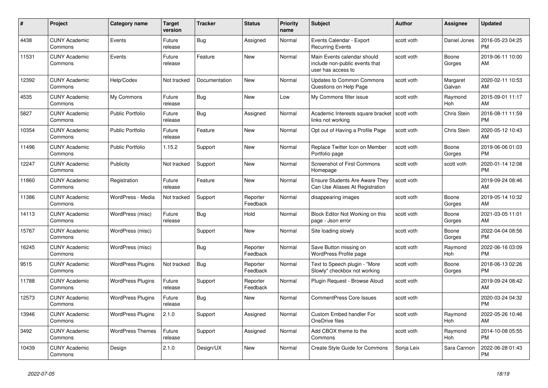| #     | <b>Project</b>                  | <b>Category name</b>     | <b>Target</b><br>version | <b>Tracker</b> | <b>Status</b>        | Priority<br>name | <b>Subject</b>                                                                      | <b>Author</b> | Assignee           | <b>Updated</b>                |
|-------|---------------------------------|--------------------------|--------------------------|----------------|----------------------|------------------|-------------------------------------------------------------------------------------|---------------|--------------------|-------------------------------|
| 4438  | <b>CUNY Academic</b><br>Commons | Events                   | Future<br>release        | <b>Bug</b>     | Assigned             | Normal           | Events Calendar - Export<br><b>Recurring Events</b>                                 | scott voth    | Daniel Jones       | 2016-05-23 04:25<br><b>PM</b> |
| 11531 | <b>CUNY Academic</b><br>Commons | Events                   | Future<br>release        | Feature        | New                  | Normal           | Main Events calendar should<br>include non-public events that<br>user has access to | scott voth    | Boone<br>Gorges    | 2019-06-11 10:00<br>AM        |
| 12392 | <b>CUNY Academic</b><br>Commons | Help/Codex               | Not tracked              | Documentation  | <b>New</b>           | Normal           | <b>Updates to Common Commons</b><br>Questions on Help Page                          | scott voth    | Margaret<br>Galvan | 2020-02-11 10:53<br>AM        |
| 4535  | <b>CUNY Academic</b><br>Commons | My Commons               | Future<br>release        | <b>Bug</b>     | <b>New</b>           | Low              | My Commons filter issue                                                             | scott voth    | Raymond<br>Hoh     | 2015-09-01 11:17<br>AM        |
| 5827  | <b>CUNY Academic</b><br>Commons | <b>Public Portfolio</b>  | Future<br>release        | Bug            | Assigned             | Normal           | Academic Interests square bracket   scott voth<br>links not working                 |               | Chris Stein        | 2016-08-11 11:59<br><b>PM</b> |
| 10354 | <b>CUNY Academic</b><br>Commons | <b>Public Portfolio</b>  | Future<br>release        | Feature        | <b>New</b>           | Normal           | Opt out of Having a Profile Page                                                    | scott voth    | Chris Stein        | 2020-05-12 10:43<br>AM        |
| 11496 | <b>CUNY Academic</b><br>Commons | <b>Public Portfolio</b>  | 1.15.2                   | Support        | <b>New</b>           | Normal           | Replace Twitter Icon on Member<br>Portfolio page                                    | scott voth    | Boone<br>Gorges    | 2019-06-06 01:03<br><b>PM</b> |
| 12247 | <b>CUNY Academic</b><br>Commons | Publicity                | Not tracked              | Support        | New                  | Normal           | <b>Screenshot of First Commons</b><br>Homepage                                      | scott voth    | scott voth         | 2020-01-14 12:08<br><b>PM</b> |
| 11860 | <b>CUNY Academic</b><br>Commons | Registration             | Future<br>release        | Feature        | New                  | Normal           | <b>Ensure Students Are Aware They</b><br>Can Use Aliases At Registration            | scott voth    |                    | 2019-09-24 08:46<br>AM        |
| 11386 | <b>CUNY Academic</b><br>Commons | WordPress - Media        | Not tracked              | Support        | Reporter<br>Feedback | Normal           | disappearing images                                                                 | scott voth    | Boone<br>Gorges    | 2019-05-14 10:32<br>AM        |
| 14113 | <b>CUNY Academic</b><br>Commons | WordPress (misc)         | Future<br>release        | Bug            | Hold                 | Normal           | Block Editor Not Working on this<br>page - Json error                               | scott voth    | Boone<br>Gorges    | 2021-03-05 11:01<br>AM        |
| 15767 | <b>CUNY Academic</b><br>Commons | WordPress (misc)         |                          | Support        | New                  | Normal           | Site loading slowly                                                                 | scott voth    | Boone<br>Gorges    | 2022-04-04 08:56<br><b>PM</b> |
| 16245 | <b>CUNY Academic</b><br>Commons | WordPress (misc)         |                          | Bug            | Reporter<br>Feedback | Normal           | Save Button missing on<br><b>WordPress Profile page</b>                             | scott voth    | Raymond<br>Hoh     | 2022-06-16 03:09<br><b>PM</b> |
| 9515  | <b>CUNY Academic</b><br>Commons | <b>WordPress Plugins</b> | Not tracked              | Bug            | Reporter<br>Feedback | Normal           | Text to Speech plugin - "More<br>Slowly" checkbox not working                       | scott voth    | Boone<br>Gorges    | 2018-06-13 02:26<br><b>PM</b> |
| 11788 | <b>CUNY Academic</b><br>Commons | <b>WordPress Plugins</b> | Future<br>release        | Support        | Reporter<br>Feedback | Normal           | Plugin Request - Browse Aloud                                                       | scott voth    |                    | 2019-09-24 08:42<br>AM        |
| 12573 | <b>CUNY Academic</b><br>Commons | <b>WordPress Plugins</b> | Future<br>release        | <b>Bug</b>     | New                  | Normal           | <b>CommentPress Core Issues</b>                                                     | scott voth    |                    | 2020-03-24 04:32<br><b>PM</b> |
| 13946 | <b>CUNY Academic</b><br>Commons | <b>WordPress Plugins</b> | 2.1.0                    | Support        | Assigned             | Normal           | <b>Custom Embed handler For</b><br>OneDrive files                                   | scott voth    | Raymond<br>Hoh     | 2022-05-26 10:46<br>AM        |
| 3492  | <b>CUNY Academic</b><br>Commons | <b>WordPress Themes</b>  | Future<br>release        | Support        | Assigned             | Normal           | Add CBOX theme to the<br>Commons                                                    | scott voth    | Raymond<br>Hoh     | 2014-10-08 05:55<br><b>PM</b> |
| 10439 | <b>CUNY Academic</b><br>Commons | Design                   | 2.1.0                    | Design/UX      | <b>New</b>           | Normal           | Create Style Guide for Commons                                                      | Sonja Leix    | Sara Cannon        | 2022-06-28 01:43<br><b>PM</b> |